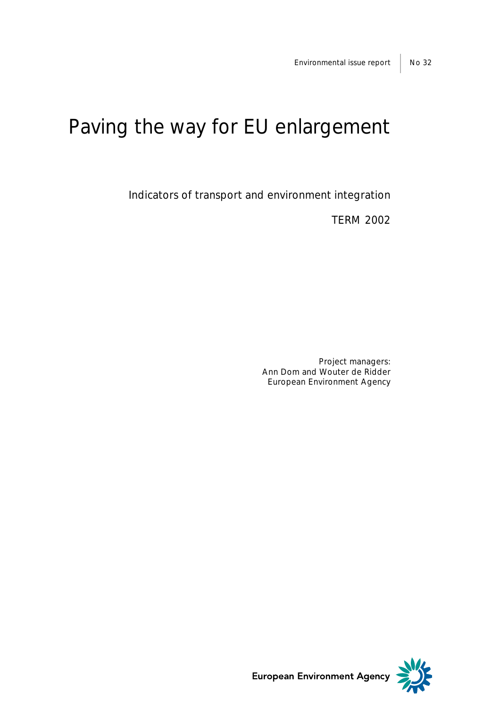# Paving the way for EU enlargement

Indicators of transport and environment integration

TERM 2002

Project managers: Ann Dom and Wouter de Ridder European Environment Agency



European Environment Agency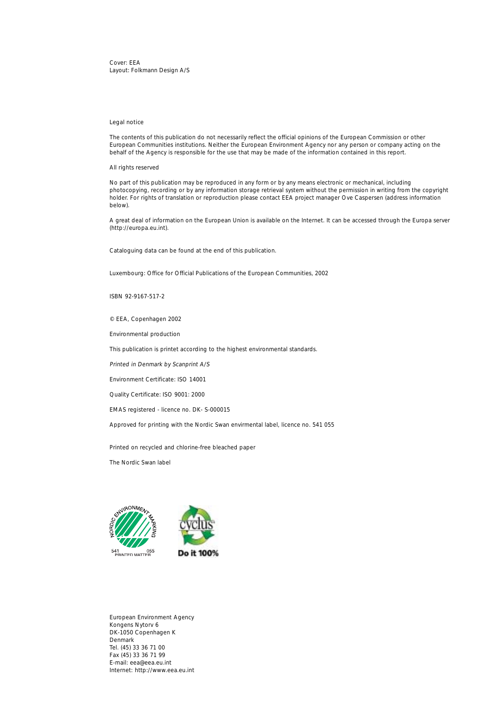Cover: EEA Layout: Folkmann Design A/S

### Legal notice

The contents of this publication do not necessarily reflect the official opinions of the European Commission or other European Communities institutions. Neither the European Environment Agency nor any person or company acting on the behalf of the Agency is responsible for the use that may be made of the information contained in this report.

All rights reserved

No part of this publication may be reproduced in any form or by any means electronic or mechanical, including photocopying, recording or by any information storage retrieval system without the permission in writing from the copyright holder. For rights of translation or reproduction please contact EEA project manager Ove Caspersen (address information below).

A great deal of information on the European Union is available on the Internet. It can be accessed through the Europa server (http://europa.eu.int).

Cataloguing data can be found at the end of this publication.

Luxembourg: Office for Official Publications of the European Communities, 2002

ISBN 92-9167-517-2

© EEA, Copenhagen 2002

Environmental production

This publication is printet according to the highest environmental standards.

Printed in Denmark by Scanprint A/S

Environment Certificate: ISO 14001

Quality Certificate: ISO 9001: 2000

EMAS registered - licence no. DK- S-000015

Approved for printing with the Nordic Swan envirmental label, licence no. 541 055

Printed on recycled and chlorine-free bleached paper

The Nordic Swan label





European Environment Agency Kongens Nytorv 6 DK-1050 Copenhagen K Denmark Tel. (45) 33 36 71 00 Fax (45) 33 36 71 99 E-mail: eea@eea.eu.int Internet: http://www.eea.eu.int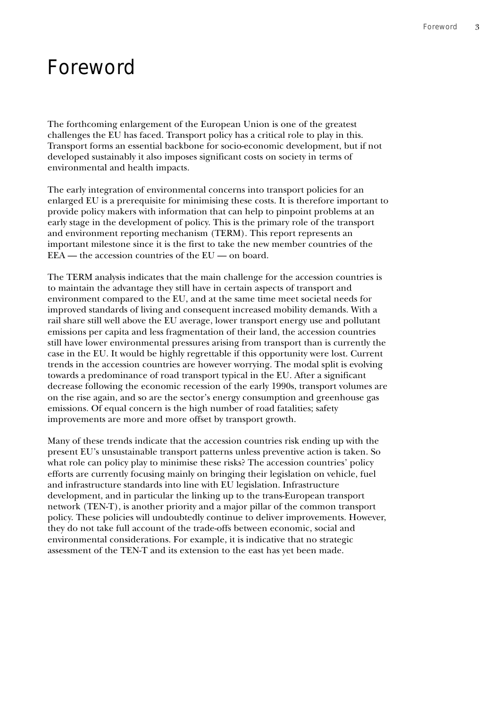# Foreword

The forthcoming enlargement of the European Union is one of the greatest challenges the EU has faced. Transport policy has a critical role to play in this. Transport forms an essential backbone for socio-economic development, but if not developed sustainably it also imposes significant costs on society in terms of environmental and health impacts.

The early integration of environmental concerns into transport policies for an enlarged EU is a prerequisite for minimising these costs. It is therefore important to provide policy makers with information that can help to pinpoint problems at an early stage in the development of policy. This is the primary role of the transport and environment reporting mechanism (TERM). This report represents an important milestone since it is the first to take the new member countries of the EEA — the accession countries of the EU — on board.

The TERM analysis indicates that the main challenge for the accession countries is to maintain the advantage they still have in certain aspects of transport and environment compared to the EU, and at the same time meet societal needs for improved standards of living and consequent increased mobility demands. With a rail share still well above the EU average, lower transport energy use and pollutant emissions per capita and less fragmentation of their land, the accession countries still have lower environmental pressures arising from transport than is currently the case in the EU. It would be highly regrettable if this opportunity were lost. Current trends in the accession countries are however worrying. The modal split is evolving towards a predominance of road transport typical in the EU. After a significant decrease following the economic recession of the early 1990s, transport volumes are on the rise again, and so are the sector's energy consumption and greenhouse gas emissions. Of equal concern is the high number of road fatalities; safety improvements are more and more offset by transport growth.

Many of these trends indicate that the accession countries risk ending up with the present EU's unsustainable transport patterns unless preventive action is taken. So what role can policy play to minimise these risks? The accession countries' policy efforts are currently focusing mainly on bringing their legislation on vehicle, fuel and infrastructure standards into line with EU legislation. Infrastructure development, and in particular the linking up to the trans-European transport network (TEN-T), is another priority and a major pillar of the common transport policy. These policies will undoubtedly continue to deliver improvements. However, they do not take full account of the trade-offs between economic, social and environmental considerations. For example, it is indicative that no strategic assessment of the TEN-T and its extension to the east has yet been made.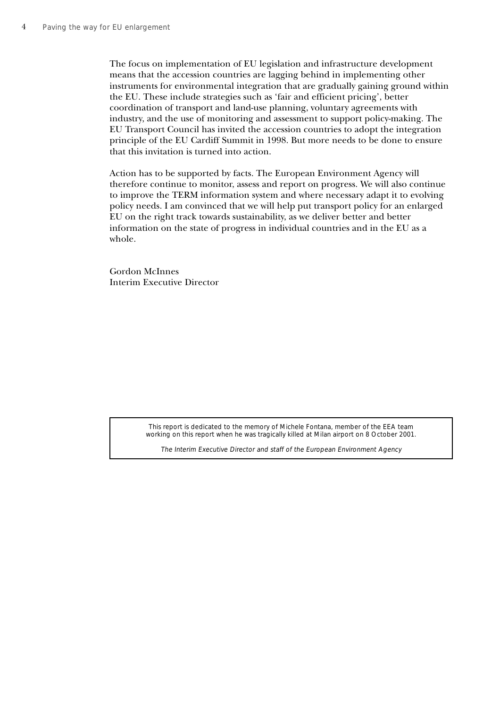The focus on implementation of EU legislation and infrastructure development means that the accession countries are lagging behind in implementing other instruments for environmental integration that are gradually gaining ground within the EU. These include strategies such as 'fair and efficient pricing', better coordination of transport and land-use planning, voluntary agreements with industry, and the use of monitoring and assessment to support policy-making. The EU Transport Council has invited the accession countries to adopt the integration principle of the EU Cardiff Summit in 1998. But more needs to be done to ensure that this invitation is turned into action.

Action has to be supported by facts. The European Environment Agency will therefore continue to monitor, assess and report on progress. We will also continue to improve the TERM information system and where necessary adapt it to evolving policy needs. I am convinced that we will help put transport policy for an enlarged EU on the right track towards sustainability, as we deliver better and better information on the state of progress in individual countries and in the EU as a whole.

Gordon McInnes Interim Executive Director

> This report is dedicated to the memory of Michele Fontana, member of the EEA team working on this report when he was tragically killed at Milan airport on 8 October 2001.

The Interim Executive Director and staff of the European Environment Agency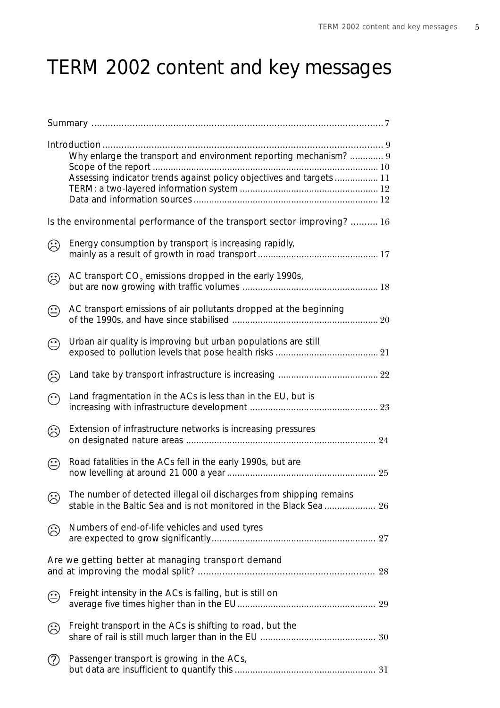# TERM 2002 content and key messages

|            | Why enlarge the transport and environment reporting mechanism?  9<br>Assessing indicator trends against policy objectives and targets  11 |  |
|------------|-------------------------------------------------------------------------------------------------------------------------------------------|--|
|            | Is the environmental performance of the transport sector improving?  16                                                                   |  |
| ☺          | Energy consumption by transport is increasing rapidly,                                                                                    |  |
| ☺          | AC transport CO <sub>2</sub> emissions dropped in the early 1990s,                                                                        |  |
| $\bigodot$ | AC transport emissions of air pollutants dropped at the beginning                                                                         |  |
| $\bigodot$ | Urban air quality is improving but urban populations are still                                                                            |  |
| ☺          |                                                                                                                                           |  |
| $\bigodot$ | Land fragmentation in the ACs is less than in the EU, but is                                                                              |  |
| $\odot$    | Extension of infrastructure networks is increasing pressures                                                                              |  |
| $\odot$    | Road fatalities in the ACs fell in the early 1990s, but are                                                                               |  |
| $\odot$    | The number of detected illegal oil discharges from shipping remains<br>stable in the Baltic Sea and is not monitored in the Black Sea  26 |  |
| ۞          | Numbers of end-of-life vehicles and used tyres                                                                                            |  |
|            | Are we getting better at managing transport demand                                                                                        |  |
| $\odot$    | Freight intensity in the ACs is falling, but is still on                                                                                  |  |
| ☺          | Freight transport in the ACs is shifting to road, but the                                                                                 |  |
| ⊘          | Passenger transport is growing in the ACs,                                                                                                |  |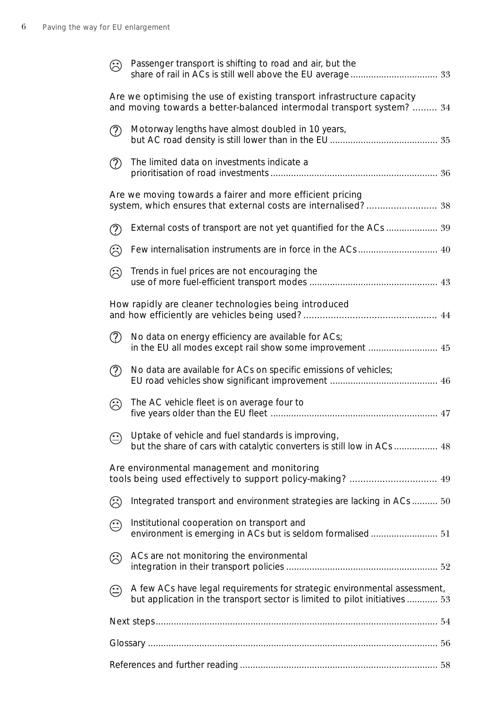| ۞             | Passenger transport is shifting to road and air, but the                                                                                                 |  |
|---------------|----------------------------------------------------------------------------------------------------------------------------------------------------------|--|
|               | Are we optimising the use of existing transport infrastructure capacity<br>and moving towards a better-balanced intermodal transport system?  34         |  |
| $\circled{?}$ | Motorway lengths have almost doubled in 10 years,                                                                                                        |  |
| $\circled{?}$ | The limited data on investments indicate a                                                                                                               |  |
|               | Are we moving towards a fairer and more efficient pricing<br>system, which ensures that external costs are internalised? 38                              |  |
| $\circled{?}$ | External costs of transport are not yet quantified for the ACs  39                                                                                       |  |
| ۞             |                                                                                                                                                          |  |
| ☺             | Trends in fuel prices are not encouraging the                                                                                                            |  |
|               | How rapidly are cleaner technologies being introduced                                                                                                    |  |
| $\circled{?}$ | No data on energy efficiency are available for ACs;<br>in the EU all modes except rail show some improvement  45                                         |  |
| $\circled{?}$ | No data are available for ACs on specific emissions of vehicles;                                                                                         |  |
| ☺             | The AC vehicle fleet is on average four to                                                                                                               |  |
| $\bigodot$    | Uptake of vehicle and fuel standards is improving,<br>but the share of cars with catalytic converters is still low in ACs  48                            |  |
|               | Are environmental management and monitoring                                                                                                              |  |
| ☺             | Integrated transport and environment strategies are lacking in ACs  50                                                                                   |  |
| ☺             | Institutional cooperation on transport and<br>environment is emerging in ACs but is seldom formalised 51                                                 |  |
| ☺             | ACs are not monitoring the environmental                                                                                                                 |  |
| $\odot$       | A few ACs have legal requirements for strategic environmental assessment,<br>but application in the transport sector is limited to pilot initiatives  53 |  |
|               |                                                                                                                                                          |  |
|               |                                                                                                                                                          |  |
|               |                                                                                                                                                          |  |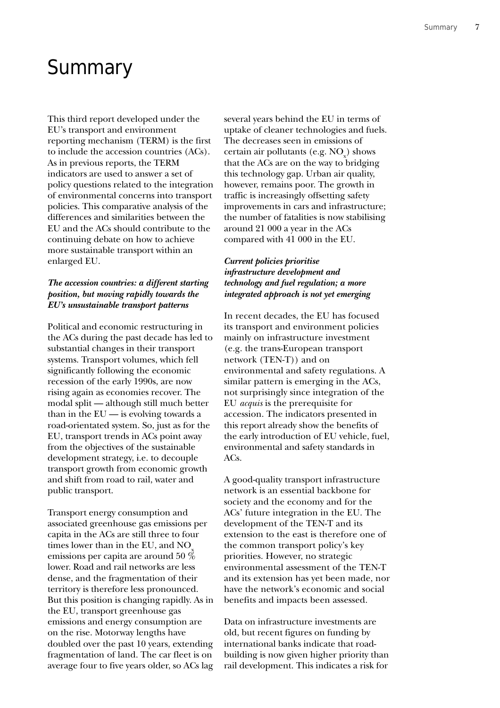# **Summary**

This third report developed under the EU's transport and environment reporting mechanism (TERM) is the first to include the accession countries (ACs). As in previous reports, the TERM indicators are used to answer a set of policy questions related to the integration of environmental concerns into transport policies. This comparative analysis of the differences and similarities between the EU and the ACs should contribute to the continuing debate on how to achieve more sustainable transport within an enlarged EU.

### *The accession countries: a different starting position, but moving rapidly towards the EU's unsustainable transport patterns*

Political and economic restructuring in the ACs during the past decade has led to substantial changes in their transport systems. Transport volumes, which fell significantly following the economic recession of the early 1990s, are now rising again as economies recover. The modal split — although still much better than in the  $EU$  — is evolving towards a road-orientated system. So, just as for the EU, transport trends in ACs point away from the objectives of the sustainable development strategy, i.e. to decouple transport growth from economic growth and shift from road to rail, water and public transport.

Transport energy consumption and associated greenhouse gas emissions per capita in the ACs are still three to four times lower than in the EU, and  $NO<sub>x</sub>$ emissions per capita are around 50 % lower. Road and rail networks are less dense, and the fragmentation of their territory is therefore less pronounced. But this position is changing rapidly. As in the EU, transport greenhouse gas emissions and energy consumption are on the rise. Motorway lengths have doubled over the past 10 years, extending fragmentation of land. The car fleet is on average four to five years older, so ACs lag several years behind the EU in terms of uptake of cleaner technologies and fuels. The decreases seen in emissions of certain air pollutants (e.g.  $\mathrm{NO_x^{\phantom i}}$ ) shows that the ACs are on the way to bridging this technology gap. Urban air quality, however, remains poor. The growth in traffic is increasingly offsetting safety improvements in cars and infrastructure; the number of fatalities is now stabilising around 21 000 a year in the ACs compared with 41 000 in the EU.

### *Current policies prioritise infrastructure development and technology and fuel regulation; a more integrated approach is not yet emerging*

In recent decades, the EU has focused its transport and environment policies mainly on infrastructure investment (e.g. the trans-European transport network (TEN-T)) and on environmental and safety regulations. A similar pattern is emerging in the ACs, not surprisingly since integration of the EU *acquis* is the prerequisite for accession. The indicators presented in this report already show the benefits of the early introduction of EU vehicle, fuel, environmental and safety standards in ACs.

A good-quality transport infrastructure network is an essential backbone for society and the economy and for the ACs' future integration in the EU. The development of the TEN-T and its extension to the east is therefore one of the common transport policy's key priorities. However, no strategic environmental assessment of the TEN-T and its extension has yet been made, nor have the network's economic and social benefits and impacts been assessed.

Data on infrastructure investments are old, but recent figures on funding by international banks indicate that roadbuilding is now given higher priority than rail development. This indicates a risk for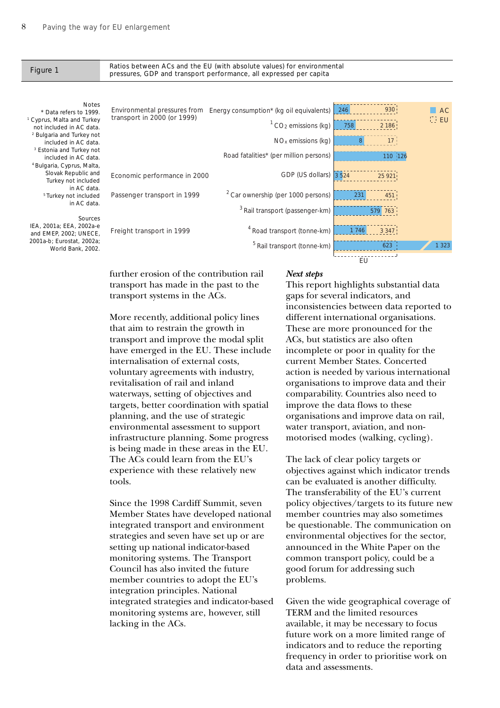### Ratios between ACs and the EU (with absolute values) for environmental Figure 1 Ratios between ACS and the ED (with absolute values) for environment pressures, GDP and transport performance, all expressed per capita

### Notes

\* Data refers to 1999. 1 Cyprus, Malta and Turkey not included in AC data. <sup>2</sup> Bulgaria and Turkey not included in AC data. <sup>3</sup> Estonia and Turkey not included in AC data. 4 Bulgaria, Cyprus, Malta, Slovak Republic and Turkey not included in AC data. 5 Turkey not included in AC data.

### Sources

IEA, 2001a; EEA, 2002a-e and EMEP, 2002; UNECE, 2001a-b; Eurostat, 2002a; World Bank, 2002.

Environmental pressures from Energy consumption\* (kg oil equivalents)  $1^1$  CO<sub>2</sub> emissions (kg)  $NO<sub>x</sub>$  emissions (kg) Road fatalities\* (per million persons) GDP (US dollars) <sup>2</sup> Car ownership (per 1000 persons) 3 Rail transport (passenger-km) 4 Road transport (tonne-km) <sup>5</sup> Rail transport (tonne-km) transport in 2000 (or 1999) Economic performance in 2000 Passenger transport in 1999 Freight transport in 1999 **AC EU** ์ EU 246 930 2 186 8 17 110 126 3 524 25 921 231 451 763  $3,347$ 623 1 323

further erosion of the contribution rail transport has made in the past to the transport systems in the ACs.

More recently, additional policy lines that aim to restrain the growth in transport and improve the modal split have emerged in the EU. These include internalisation of external costs, voluntary agreements with industry, revitalisation of rail and inland waterways, setting of objectives and targets, better coordination with spatial planning, and the use of strategic environmental assessment to support infrastructure planning. Some progress is being made in these areas in the EU. The ACs could learn from the EU's experience with these relatively new tools.

Since the 1998 Cardiff Summit, seven Member States have developed national integrated transport and environment strategies and seven have set up or are setting up national indicator-based monitoring systems. The Transport Council has also invited the future member countries to adopt the EU's integration principles. National integrated strategies and indicator-based monitoring systems are, however, still lacking in the ACs.

### *Next steps*

This report highlights substantial data gaps for several indicators, and inconsistencies between data reported to different international organisations. These are more pronounced for the ACs, but statistics are also often incomplete or poor in quality for the current Member States. Concerted action is needed by various international organisations to improve data and their comparability. Countries also need to improve the data flows to these organisations and improve data on rail, water transport, aviation, and nonmotorised modes (walking, cycling).

The lack of clear policy targets or objectives against which indicator trends can be evaluated is another difficulty. The transferability of the EU's current policy objectives/targets to its future new member countries may also sometimes be questionable. The communication on environmental objectives for the sector, announced in the White Paper on the common transport policy, could be a good forum for addressing such problems.

Given the wide geographical coverage of TERM and the limited resources available, it may be necessary to focus future work on a more limited range of indicators and to reduce the reporting frequency in order to prioritise work on data and assessments.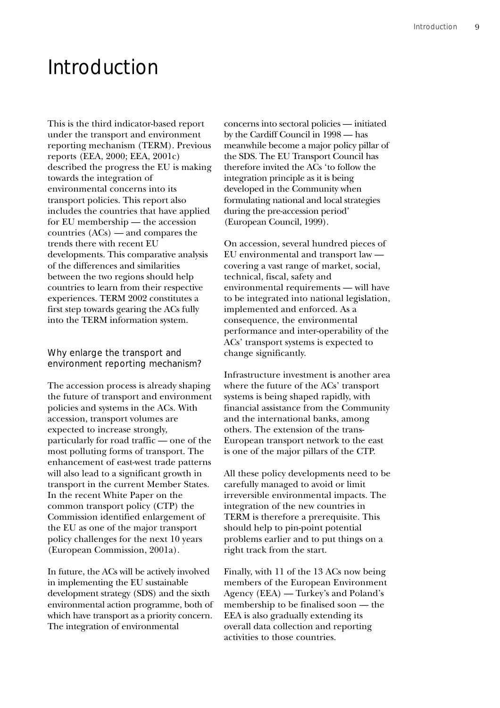# Introduction

This is the third indicator-based report under the transport and environment reporting mechanism (TERM). Previous reports (EEA, 2000; EEA, 2001c) described the progress the EU is making towards the integration of environmental concerns into its transport policies. This report also includes the countries that have applied for EU membership — the accession countries (ACs) — and compares the trends there with recent EU developments. This comparative analysis of the differences and similarities between the two regions should help countries to learn from their respective experiences. TERM 2002 constitutes a first step towards gearing the ACs fully into the TERM information system.

### Why enlarge the transport and environment reporting mechanism?

The accession process is already shaping the future of transport and environment policies and systems in the ACs. With accession, transport volumes are expected to increase strongly, particularly for road traffic — one of the most polluting forms of transport. The enhancement of east-west trade patterns will also lead to a significant growth in transport in the current Member States. In the recent White Paper on the common transport policy (CTP) the Commission identified enlargement of the EU as one of the major transport policy challenges for the next 10 years (European Commission, 2001a).

In future, the ACs will be actively involved in implementing the EU sustainable development strategy (SDS) and the sixth environmental action programme, both of which have transport as a priority concern. The integration of environmental

concerns into sectoral policies — initiated by the Cardiff Council in 1998 — has meanwhile become a major policy pillar of the SDS. The EU Transport Council has therefore invited the ACs 'to follow the integration principle as it is being developed in the Community when formulating national and local strategies during the pre-accession period' (European Council, 1999).

On accession, several hundred pieces of EU environmental and transport law covering a vast range of market, social, technical, fiscal, safety and environmental requirements — will have to be integrated into national legislation, implemented and enforced. As a consequence, the environmental performance and inter-operability of the ACs' transport systems is expected to change significantly.

Infrastructure investment is another area where the future of the ACs' transport systems is being shaped rapidly, with financial assistance from the Community and the international banks, among others. The extension of the trans-European transport network to the east is one of the major pillars of the CTP.

All these policy developments need to be carefully managed to avoid or limit irreversible environmental impacts. The integration of the new countries in TERM is therefore a prerequisite. This should help to pin-point potential problems earlier and to put things on a right track from the start.

Finally, with 11 of the 13 ACs now being members of the European Environment Agency (EEA) — Turkey's and Poland's membership to be finalised soon — the EEA is also gradually extending its overall data collection and reporting activities to those countries.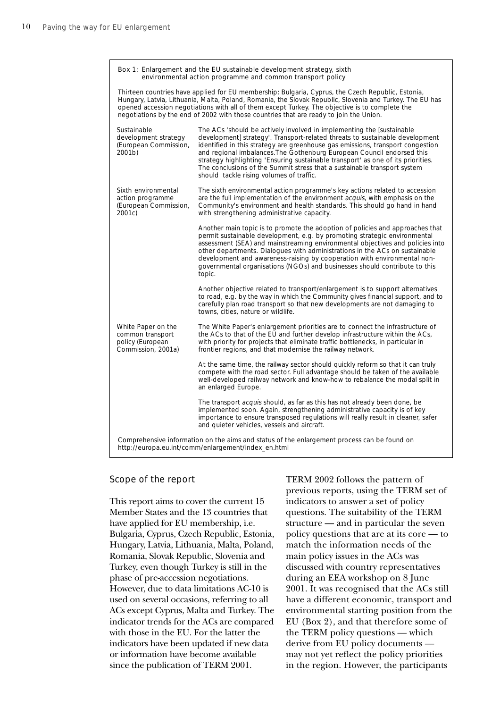| Box 1: Enlargement and the EU sustainable development strategy, sixth<br>environmental action programme and common transport policy |                                                                                                                                                                                                                                                                                                                                                                                                                                                                                                                               |  |  |  |  |  |
|-------------------------------------------------------------------------------------------------------------------------------------|-------------------------------------------------------------------------------------------------------------------------------------------------------------------------------------------------------------------------------------------------------------------------------------------------------------------------------------------------------------------------------------------------------------------------------------------------------------------------------------------------------------------------------|--|--|--|--|--|
|                                                                                                                                     | Thirteen countries have applied for EU membership: Bulgaria, Cyprus, the Czech Republic, Estonia,<br>Hungary, Latvia, Lithuania, Malta, Poland, Romania, the Slovak Republic, Slovenia and Turkey. The EU has<br>opened accession negotiations with all of them except Turkey. The objective is to complete the<br>negotiations by the end of 2002 with those countries that are ready to join the Union.                                                                                                                     |  |  |  |  |  |
| Sustainable<br>development strategy<br>(European Commission,<br>2001b)                                                              | The ACs 'should be actively involved in implementing the [sustainable<br>development] strategy'. Transport-related threats to sustainable development<br>identified in this strategy are greenhouse gas emissions, transport congestion<br>and regional imbalances. The Gothenburg European Council endorsed this<br>strategy highlighting 'Ensuring sustainable transport' as one of its priorities.<br>The conclusions of the Summit stress that a sustainable transport system<br>should tackle rising volumes of traffic. |  |  |  |  |  |
| Sixth environmental<br>action programme<br>(European Commission,<br>2001c)                                                          | The sixth environmental action programme's key actions related to accession<br>are the full implementation of the environment acquis, with emphasis on the<br>Community's environment and health standards. This should go hand in hand<br>with strengthening administrative capacity.                                                                                                                                                                                                                                        |  |  |  |  |  |
|                                                                                                                                     | Another main topic is to promote the adoption of policies and approaches that<br>permit sustainable development, e.g. by promoting strategic environmental<br>assessment (SEA) and mainstreaming environmental objectives and policies into<br>other departments. Dialogues with administrations in the ACs on sustainable<br>development and awareness-raising by cooperation with environmental non-<br>governmental organisations (NGOs) and businesses should contribute to this<br>topic.                                |  |  |  |  |  |
|                                                                                                                                     | Another objective related to transport/enlargement is to support alternatives<br>to road, e.g. by the way in which the Community gives financial support, and to<br>carefully plan road transport so that new developments are not damaging to<br>towns, cities, nature or wildlife.                                                                                                                                                                                                                                          |  |  |  |  |  |
| White Paper on the<br>common transport<br>policy (European<br>Commission, 2001a)                                                    | The White Paper's enlargement priorities are to connect the infrastructure of<br>the ACs to that of the EU and further develop infrastructure within the ACs,<br>with priority for projects that eliminate traffic bottlenecks, in particular in<br>frontier regions, and that modernise the railway network.                                                                                                                                                                                                                 |  |  |  |  |  |
|                                                                                                                                     | At the same time, the railway sector should quickly reform so that it can truly<br>compete with the road sector. Full advantage should be taken of the available<br>well-developed railway network and know-how to rebalance the modal split in<br>an enlarged Europe.                                                                                                                                                                                                                                                        |  |  |  |  |  |
|                                                                                                                                     | The transport <i>acquis</i> should, as far as this has not already been done, be<br>implemented soon. Again, strengthening administrative capacity is of key<br>importance to ensure transposed regulations will really result in cleaner, safer<br>and quieter vehicles, vessels and aircraft.                                                                                                                                                                                                                               |  |  |  |  |  |
|                                                                                                                                     | Comprehensive information on the aims and status of the enlargement process can be found on<br>http://europa.eu.int/comm/enlargement/index_en.html                                                                                                                                                                                                                                                                                                                                                                            |  |  |  |  |  |

### Scope of the report

This report aims to cover the current 15 Member States and the 13 countries that have applied for EU membership, i.e. Bulgaria, Cyprus, Czech Republic, Estonia, Hungary, Latvia, Lithuania, Malta, Poland, Romania, Slovak Republic, Slovenia and Turkey, even though Turkey is still in the phase of pre-accession negotiations. However, due to data limitations AC-10 is used on several occasions, referring to all ACs except Cyprus, Malta and Turkey. The indicator trends for the ACs are compared with those in the EU. For the latter the indicators have been updated if new data or information have become available since the publication of TERM 2001.

TERM 2002 follows the pattern of previous reports, using the TERM set of indicators to answer a set of policy questions. The suitability of the TERM structure — and in particular the seven policy questions that are at its core — to match the information needs of the main policy issues in the ACs was discussed with country representatives during an EEA workshop on 8 June 2001. It was recognised that the ACs still have a different economic, transport and environmental starting position from the EU (Box 2), and that therefore some of the TERM policy questions — which derive from EU policy documents may not yet reflect the policy priorities in the region. However, the participants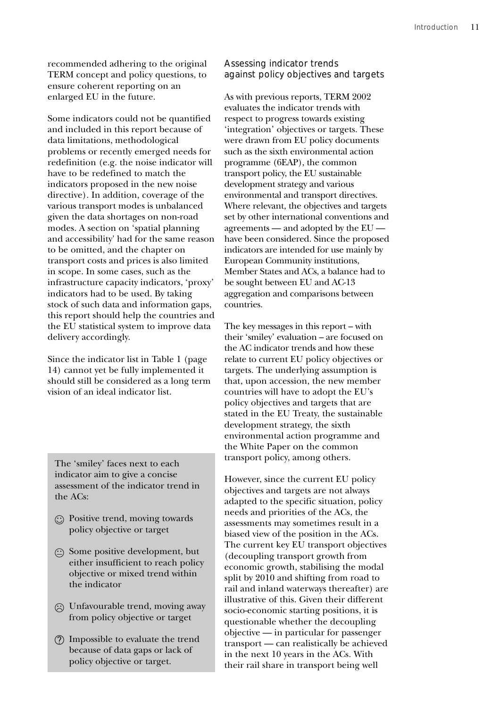recommended adhering to the original TERM concept and policy questions, to ensure coherent reporting on an enlarged EU in the future.

Some indicators could not be quantified and included in this report because of data limitations, methodological problems or recently emerged needs for redefinition (e.g. the noise indicator will have to be redefined to match the indicators proposed in the new noise directive). In addition, coverage of the various transport modes is unbalanced given the data shortages on non-road modes. A section on 'spatial planning and accessibility' had for the same reason to be omitted, and the chapter on transport costs and prices is also limited in scope. In some cases, such as the infrastructure capacity indicators, 'proxy' indicators had to be used. By taking stock of such data and information gaps, this report should help the countries and the EU statistical system to improve data delivery accordingly.

Since the indicator list in Table 1 (page 14) cannot yet be fully implemented it should still be considered as a long term vision of an ideal indicator list.

The 'smiley' faces next to each indicator aim to give a concise assessment of the indicator trend in the ACs:

- Positive trend, moving towards policy objective or target
- $\odot$  Some positive development, but either insufficient to reach policy objective or mixed trend within the indicator
- $\odot$  Unfavourable trend, moving away from policy objective or target
- Impossible to evaluate the trend because of data gaps or lack of policy objective or target.

## Assessing indicator trends against policy objectives and targets

As with previous reports, TERM 2002 evaluates the indicator trends with respect to progress towards existing 'integration' objectives or targets. These were drawn from EU policy documents such as the sixth environmental action programme (6EAP), the common transport policy, the EU sustainable development strategy and various environmental and transport directives. Where relevant, the objectives and targets set by other international conventions and agreements — and adopted by the EU have been considered. Since the proposed indicators are intended for use mainly by European Community institutions, Member States and ACs, a balance had to be sought between EU and AC-13 aggregation and comparisons between countries.

The key messages in this report – with their 'smiley' evaluation – are focused on the AC indicator trends and how these relate to current EU policy objectives or targets. The underlying assumption is that, upon accession, the new member countries will have to adopt the EU's policy objectives and targets that are stated in the EU Treaty, the sustainable development strategy, the sixth environmental action programme and the White Paper on the common transport policy, among others.

However, since the current EU policy objectives and targets are not always adapted to the specific situation, policy needs and priorities of the ACs, the assessments may sometimes result in a biased view of the position in the ACs. The current key EU transport objectives (decoupling transport growth from economic growth, stabilising the modal split by 2010 and shifting from road to rail and inland waterways thereafter) are illustrative of this. Given their different socio-economic starting positions, it is questionable whether the decoupling objective — in particular for passenger transport — can realistically be achieved in the next 10 years in the ACs. With their rail share in transport being well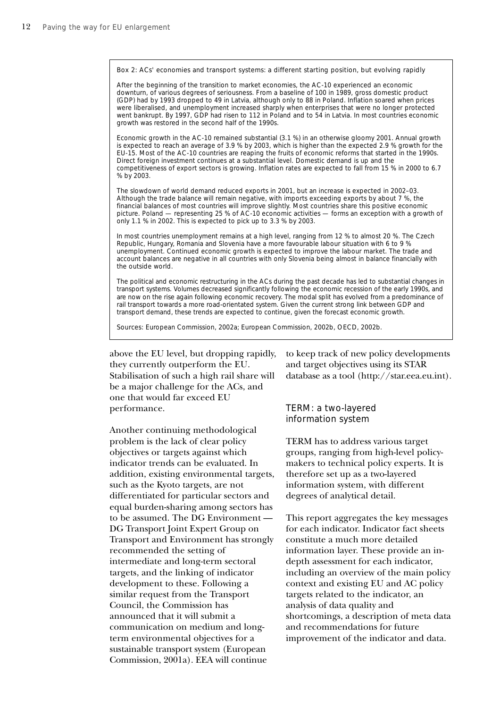Box 2: ACs' economies and transport systems: a different starting position, but evolving rapidly

After the beginning of the transition to market economies, the AC-10 experienced an economic downturn, of various degrees of seriousness. From a baseline of 100 in 1989, gross domestic product (GDP) had by 1993 dropped to 49 in Latvia, although only to 88 in Poland. Inflation soared when prices were liberalised, and unemployment increased sharply when enterprises that were no longer protected went bankrupt. By 1997, GDP had risen to 112 in Poland and to 54 in Latvia. In most countries economic growth was restored in the second half of the 1990s.

Economic growth in the AC-10 remained substantial (3.1 %) in an otherwise gloomy 2001. Annual growth is expected to reach an average of 3.9 % by 2003, which is higher than the expected 2.9 % growth for the EU-15. Most of the AC-10 countries are reaping the fruits of economic reforms that started in the 1990s. Direct foreign investment continues at a substantial level. Domestic demand is up and the competitiveness of export sectors is growing. Inflation rates are expected to fall from 15 % in 2000 to 6.7 % by 2003.

The slowdown of world demand reduced exports in 2001, but an increase is expected in 2002–03. Although the trade balance will remain negative, with imports exceeding exports by about 7 %, the financial balances of most countries will improve slightly. Most countries share this positive economic picture. Poland — representing 25 % of AC-10 economic activities — forms an exception with a growth of only 1.1 % in 2002. This is expected to pick up to 3.3 % by 2003.

In most countries unemployment remains at a high level, ranging from 12 % to almost 20 %. The Czech Republic, Hungary, Romania and Slovenia have a more favourable labour situation with 6 to 9 % unemployment. Continued economic growth is expected to improve the labour market. The trade and account balances are negative in all countries with only Slovenia being almost in balance financially with the outside world.

The political and economic restructuring in the ACs during the past decade has led to substantial changes in transport systems. Volumes decreased significantly following the economic recession of the early 1990s, and are now on the rise again following economic recovery. The modal split has evolved from a predominance of rail transport towards a more road-orientated system. Given the current strong link between GDP and transport demand, these trends are expected to continue, given the forecast economic growth.

Sources: European Commission, 2002a; European Commission, 2002b, OECD, 2002b.

above the EU level, but dropping rapidly, they currently outperform the EU. Stabilisation of such a high rail share will be a major challenge for the ACs, and one that would far exceed EU performance.

Another continuing methodological problem is the lack of clear policy objectives or targets against which indicator trends can be evaluated. In addition, existing environmental targets, such as the Kyoto targets, are not differentiated for particular sectors and equal burden-sharing among sectors has to be assumed. The DG Environment — DG Transport Joint Expert Group on Transport and Environment has strongly recommended the setting of intermediate and long-term sectoral targets, and the linking of indicator development to these. Following a similar request from the Transport Council, the Commission has announced that it will submit a communication on medium and longterm environmental objectives for a sustainable transport system (European Commission, 2001a). EEA will continue

to keep track of new policy developments and target objectives using its STAR database as a tool (http://star.eea.eu.int).

### TERM: a two-layered information system

TERM has to address various target groups, ranging from high-level policymakers to technical policy experts. It is therefore set up as a two-layered information system, with different degrees of analytical detail.

This report aggregates the key messages for each indicator. Indicator fact sheets constitute a much more detailed information layer. These provide an indepth assessment for each indicator, including an overview of the main policy context and existing EU and AC policy targets related to the indicator, an analysis of data quality and shortcomings, a description of meta data and recommendations for future improvement of the indicator and data.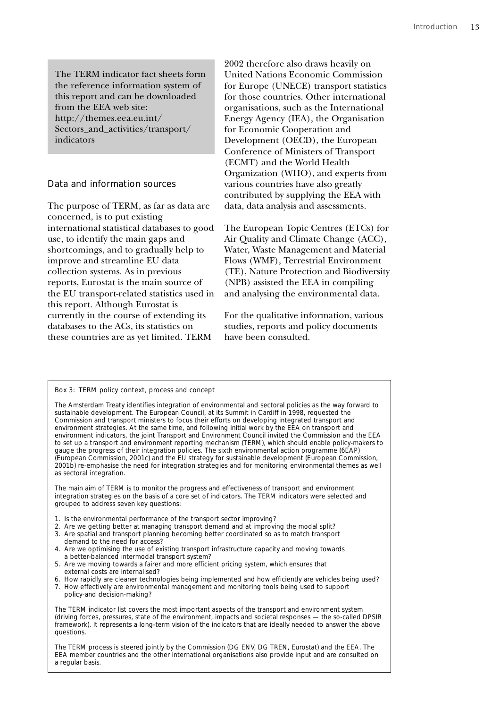The TERM indicator fact sheets form the reference information system of this report and can be downloaded from the EEA web site: http://themes.eea.eu.int/ Sectors and activities/transport/ indicators

### Data and information sources

The purpose of TERM, as far as data are concerned, is to put existing international statistical databases to good use, to identify the main gaps and shortcomings, and to gradually help to improve and streamline EU data collection systems. As in previous reports, Eurostat is the main source of the EU transport-related statistics used in this report. Although Eurostat is currently in the course of extending its databases to the ACs, its statistics on these countries are as yet limited. TERM

2002 therefore also draws heavily on United Nations Economic Commission for Europe (UNECE) transport statistics for those countries. Other international organisations, such as the International Energy Agency (IEA), the Organisation for Economic Cooperation and Development (OECD), the European Conference of Ministers of Transport (ECMT) and the World Health Organization (WHO), and experts from various countries have also greatly contributed by supplying the EEA with data, data analysis and assessments.

The European Topic Centres (ETCs) for Air Quality and Climate Change (ACC), Water, Waste Management and Material Flows (WMF), Terrestrial Environment (TE), Nature Protection and Biodiversity (NPB) assisted the EEA in compiling and analysing the environmental data.

For the qualitative information, various studies, reports and policy documents have been consulted.

### Box 3: TERM policy context, process and concept

The Amsterdam Treaty identifies integration of environmental and sectoral policies as the way forward to sustainable development. The European Council, at its Summit in Cardiff in 1998, requested the Commission and transport ministers to focus their efforts on developing integrated transport and environment strategies. At the same time, and following initial work by the EEA on transport and environment indicators, the joint Transport and Environment Council invited the Commission and the EEA to set up a transport and environment reporting mechanism (TERM), which should enable policy-makers to gauge the progress of their integration policies. The sixth environmental action programme (6EAP) (European Commission, 2001c) and the EU strategy for sustainable development (European Commission, 2001b) re-emphasise the need for integration strategies and for monitoring environmental themes as well as sectoral integration.

The main aim of TERM is to monitor the progress and effectiveness of transport and environment integration strategies on the basis of a core set of indicators. The TERM indicators were selected and grouped to address seven key questions:

- 1. Is the environmental performance of the transport sector improving?
- 2. Are we getting better at managing transport demand and at improving the modal split?
- 3. Are spatial and transport planning becoming better coordinated so as to match transport demand to the need for access?
- 4. Are we optimising the use of existing transport infrastructure capacity and moving towards a better-balanced intermodal transport system?
- 5. Are we moving towards a fairer and more efficient pricing system, which ensures that external costs are internalised?
- 6. How rapidly are cleaner technologies being implemented and how efficiently are vehicles being used?
- 7. How effectively are environmental management and monitoring tools being used to support policy-and decision-making?

The TERM indicator list covers the most important aspects of the transport and environment system (driving forces, pressures, state of the environment, impacts and societal responses — the so-called DPSIR framework). It represents a long-term vision of the indicators that are ideally needed to answer the above questions.

The TERM process is steered jointly by the Commission (DG ENV, DG TREN, Eurostat) and the EEA. The EEA member countries and the other international organisations also provide input and are consulted on a regular basis.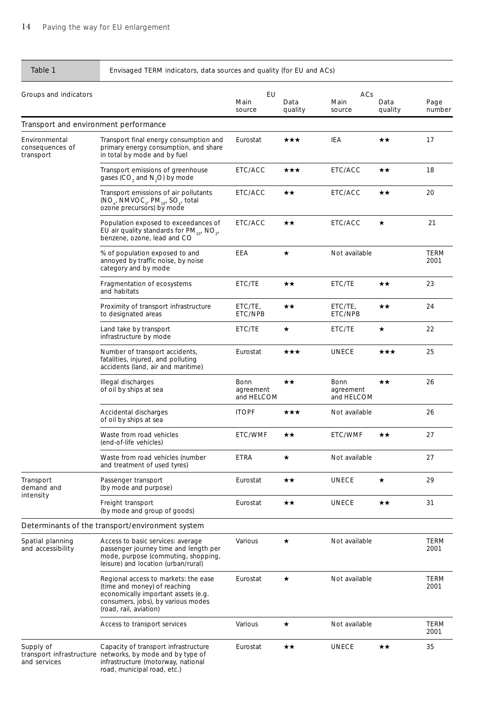## Table 1 Envisaged TERM indicators, data sources and quality (for EU and ACs)

| Groups and indicators                         | EU<br>ACs                                                                                                                                                                   |                                 |                 |                                 |                 |                     |
|-----------------------------------------------|-----------------------------------------------------------------------------------------------------------------------------------------------------------------------------|---------------------------------|-----------------|---------------------------------|-----------------|---------------------|
|                                               |                                                                                                                                                                             | Main<br>source                  | Data<br>quality | Main<br>source                  | Data<br>quality | Page<br>number      |
| Transport and environment performance         |                                                                                                                                                                             |                                 |                 |                                 |                 |                     |
| Environmental<br>consequences of<br>transport | Transport final energy consumption and<br>primary energy consumption, and share<br>in total by mode and by fuel                                                             | Eurostat                        | ★★★             | IEA                             | ★★              | 17                  |
|                                               | Transport emissions of greenhouse<br>gases (CO <sub>2</sub> and N <sub>2</sub> O) by mode                                                                                   | ETC/ACC                         | ★★★             | ETC/ACC                         | ★★              | 18                  |
|                                               | Transport emissions of air pollutants<br>$(NO_{x}$ , NMVOC <sub>s</sub> , PM <sub>10</sub> , SO <sub>x</sub> , total<br>ozone precursors) by mode                           | ETC/ACC                         | ★★              | ETC/ACC                         | $\star\star$    | 20                  |
|                                               | Population exposed to exceedances of<br>EU air quality standards for $PM_{10}$ , NO <sub>2</sub> ,<br>benzene, ozone, lead and CO                                           | ETC/ACC                         | ★★              | ETC/ACC                         | $\star$         | 21                  |
|                                               | % of population exposed to and<br>annoyed by traffic noise, by noise<br>category and by mode                                                                                | EEA                             | $\star$         | Not available                   |                 | TERM<br>2001        |
|                                               | Fragmentation of ecosystems<br>and habitats                                                                                                                                 | ETC/TE                          | ★★              | ETC/TE                          | $\star\star$    | 23                  |
|                                               | Proximity of transport infrastructure<br>to designated areas                                                                                                                | ETC/TE,<br>ETC/NPB              | $\star\star$    | ETC/TE,<br>ETC/NPB              | $\star\star$    | 24                  |
|                                               | Land take by transport<br>infrastructure by mode                                                                                                                            | ETC/TE                          | $\star$         | ETC/TE                          | $\star$         | 22                  |
|                                               | Number of transport accidents,<br>fatalities, injured, and polluting<br>accidents (land, air and maritime)                                                                  | Eurostat                        | ★★★             | <b>UNECE</b>                    | ★★★             | 25                  |
|                                               | Illegal discharges<br>of oil by ships at sea                                                                                                                                | Bonn<br>agreement<br>and HELCOM | $\star\star$    | Bonn<br>agreement<br>and HELCOM | ★★              | 26                  |
|                                               | Accidental discharges<br>of oil by ships at sea                                                                                                                             | <b>ITOPF</b>                    | ★★★             | Not available                   |                 | 26                  |
|                                               | Waste from road vehicles<br>(end-of-life vehicles)                                                                                                                          | ETC/WMF                         | ★★              | ETC/WMF                         | ★★              | 27                  |
|                                               | Waste from road vehicles (number<br>and treatment of used tyres)                                                                                                            | <b>ETRA</b>                     |                 | Not available                   |                 | 27                  |
| Transport<br>demand and<br>intensity          | Passenger transport<br>(by mode and purpose)                                                                                                                                | Eurostat                        | ★★              | <b>UNECE</b>                    | $\star$         | 29                  |
|                                               | Freight transport<br>(by mode and group of goods)                                                                                                                           | Eurostat                        | $\star\star$    | <b>UNECE</b>                    | ★★              | 31                  |
|                                               | Determinants of the transport/environment system                                                                                                                            |                                 |                 |                                 |                 |                     |
| Spatial planning<br>and accessibility         | Access to basic services: average<br>passenger journey time and length per<br>mode, purpose (commuting, shopping,<br>leisure) and location (urban/rural)                    | Various                         | *               | Not available                   |                 | <b>TERM</b><br>2001 |
|                                               | Regional access to markets: the ease<br>(time and money) of reaching<br>economically important assets (e.g.<br>consumers, jobs), by various modes<br>(road, rail, aviation) | Eurostat                        | $\star$         | Not available                   |                 | TERM<br>2001        |
|                                               | Access to transport services                                                                                                                                                | Various                         | $\star$         | Not available                   |                 | <b>TERM</b><br>2001 |
| Supply of<br>and services                     | Capacity of transport infrastructure<br>transport infrastructure networks, by mode and by type of<br>infrastructure (motorway, national<br>road, municipal road, etc.)      | Eurostat                        | $\star\star$    | <b>UNECE</b>                    | ★★              | 35                  |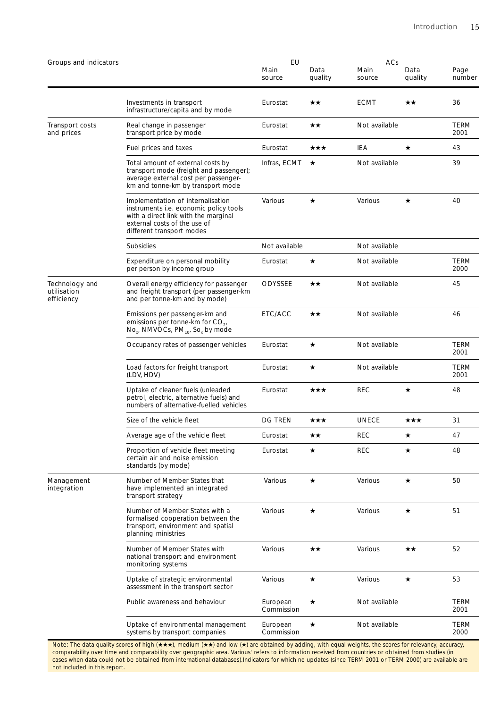| Groups and indicators                       |                                                                                                                                                                                  | EU<br>Main<br>source   | Data<br>quality | ACs<br>Main<br>source | Data<br>quality | Page<br>number      |
|---------------------------------------------|----------------------------------------------------------------------------------------------------------------------------------------------------------------------------------|------------------------|-----------------|-----------------------|-----------------|---------------------|
|                                             | Investments in transport<br>infrastructure/capita and by mode                                                                                                                    | Eurostat               | ★★              | <b>ECMT</b>           | ★★              | 36                  |
| Transport costs<br>and prices               | Real change in passenger<br>transport price by mode                                                                                                                              | Eurostat               | ★★              | Not available         |                 | TERM<br>2001        |
|                                             | Fuel prices and taxes                                                                                                                                                            | Eurostat               | ★★★             | IEA                   | $\star$         | 43                  |
|                                             | Total amount of external costs by<br>transport mode (freight and passenger);<br>average external cost per passenger-<br>km and tonne-km by transport mode                        | Infras, ECMT           | $\star$         | Not available         |                 | 39                  |
|                                             | Implementation of internalisation<br>instruments i.e. economic policy tools<br>with a direct link with the marginal<br>external costs of the use of<br>different transport modes | Various                | ★               | Various               | ★               | 40                  |
|                                             | <b>Subsidies</b>                                                                                                                                                                 | Not available          |                 | Not available         |                 |                     |
|                                             | Expenditure on personal mobility<br>per person by income group                                                                                                                   | Eurostat               | ★               | Not available         |                 | <b>TERM</b><br>2000 |
| Technology and<br>utilisation<br>efficiency | Overall energy efficiency for passenger<br>and freight transport (per passenger-km<br>and per tonne-km and by mode)                                                              | <b>ODYSSEE</b>         | ★★              | Not available         |                 | 45                  |
|                                             | Emissions per passenger-km and<br>emissions per tonne-km for $CO_{21}$<br>$No_{x'}$ NMVOCs, PM <sub>10</sub> , So <sub>x</sub> by mode                                           | ETC/ACC                | ★★              | Not available         |                 | 46                  |
|                                             | Occupancy rates of passenger vehicles                                                                                                                                            | Eurostat               | $\star$         | Not available         |                 | <b>TERM</b><br>2001 |
|                                             | Load factors for freight transport<br>(LDV, HDV)                                                                                                                                 | Eurostat               | $\star$         | Not available         |                 | <b>TERM</b><br>2001 |
|                                             | Uptake of cleaner fuels (unleaded<br>petrol, electric, alternative fuels) and<br>numbers of alternative-fuelled vehicles                                                         | Eurostat               | ★★★             | <b>REC</b>            | $\star$         | 48                  |
|                                             | Size of the vehicle fleet                                                                                                                                                        | <b>DG TREN</b>         | ★★★             | <b>UNECE</b>          | ★★★             | 31                  |
|                                             | Average age of the vehicle fleet                                                                                                                                                 | Eurostat               | ★★              | <b>REC</b>            | ★               | 47                  |
|                                             | Proportion of vehicle fleet meeting<br>certain air and noise emission<br>standards (by mode)                                                                                     | Eurostat               | ★               | <b>REC</b>            | ★               | 48                  |
| Management<br>integration                   | Number of Member States that<br>have implemented an integrated<br>transport strategy                                                                                             | Various                | $\star$         | Various               | $\star$         | 50                  |
|                                             | Number of Member States with a<br>formalised cooperation between the<br>transport, environment and spatial<br>planning ministries                                                | Various                | $\star$         | Various               | $\star$         | 51                  |
|                                             | Number of Member States with<br>national transport and environment<br>monitoring systems                                                                                         | Various                | ★★              | Various               | ★★              | 52                  |
|                                             | Uptake of strategic environmental<br>assessment in the transport sector                                                                                                          | Various                | $\star$         | Various               | $\star$         | 53                  |
|                                             | Public awareness and behaviour                                                                                                                                                   | European<br>Commission | $\star$         | Not available         |                 | <b>TERM</b><br>2001 |
|                                             | Uptake of environmental management<br>systems by transport companies                                                                                                             | European<br>Commission | $\star$         | Not available         |                 | TERM<br>2000        |

Note: The data quality scores of high (★★★), medium (★★) and low (★) are obtained by adding, with equal weights, the scores for relevancy, accuracy, comparability over time and comparability over geographic area.'Various' refers to information received from countries or obtained from studies (in cases when data could not be obtained from international databases).Indicators for which no updates (since TERM 2001 or TERM 2000) are available are not included in this report.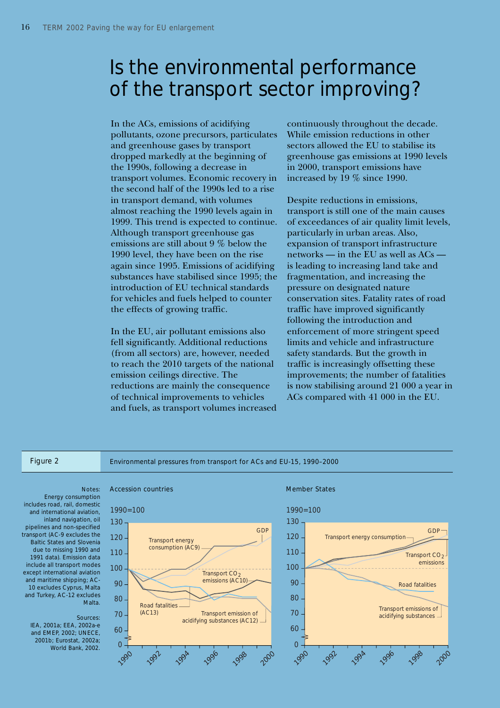# Is the environmental performance of the transport sector improving?

In the ACs, emissions of acidifying pollutants, ozone precursors, particulates and greenhouse gases by transport dropped markedly at the beginning of the 1990s, following a decrease in transport volumes. Economic recovery in the second half of the 1990s led to a rise in transport demand, with volumes almost reaching the 1990 levels again in 1999. This trend is expected to continue. Although transport greenhouse gas emissions are still about 9 % below the 1990 level, they have been on the rise again since 1995. Emissions of acidifying substances have stabilised since 1995; the introduction of EU technical standards for vehicles and fuels helped to counter the effects of growing traffic.

In the EU, air pollutant emissions also fell significantly. Additional reductions (from all sectors) are, however, needed to reach the 2010 targets of the national emission ceilings directive. The reductions are mainly the consequence of technical improvements to vehicles and fuels, as transport volumes increased continuously throughout the decade. While emission reductions in other sectors allowed the EU to stabilise its greenhouse gas emissions at 1990 levels in 2000, transport emissions have increased by 19 % since 1990.

Despite reductions in emissions, transport is still one of the main causes of exceedances of air quality limit levels, particularly in urban areas. Also, expansion of transport infrastructure networks — in the EU as well as ACs is leading to increasing land take and fragmentation, and increasing the pressure on designated nature conservation sites. Fatality rates of road traffic have improved significantly following the introduction and enforcement of more stringent speed limits and vehicle and infrastructure safety standards. But the growth in traffic is increasingly offsetting these improvements; the number of fatalities is now stabilising around 21 000 a year in ACs compared with 41 000 in the EU.

Figure 2 Environmental pressures from transport for ACs and EU-15, 1990–2000

Energy consumption includes road, rail, domestic and international aviation, inland navigation, oil pipelines and non-specified transport (AC-9 excludes the Baltic States and Slovenia due to missing 1990 and 1991 data). Emission data include all transport modes except international aviation and maritime shipping; AC-10 excludes Cyprus, Malta and Turkey, AC-12 excludes Malta.

### Sources:

IEA, 2001a; EEA, 2002a-e and EMEP, 2002; UNECE, 2001b; Eurostat, 2002a; World Bank, 2002.





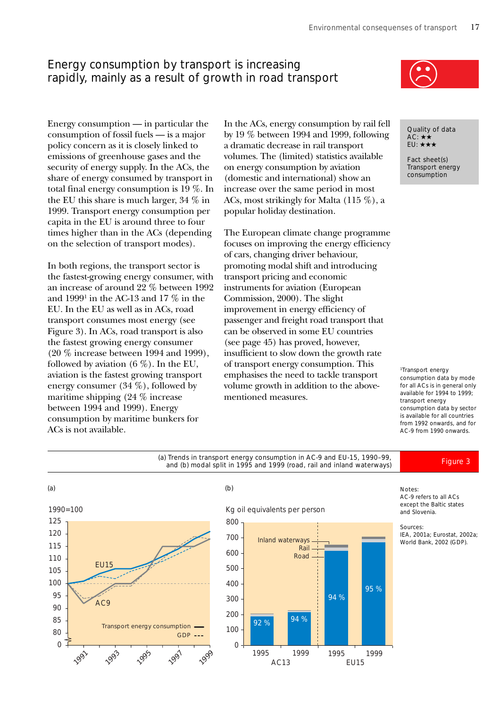# Energy consumption by transport is increasing rapidly, mainly as a result of growth in road transport

times higher than in the ACs (depending on the selection of transport modes).

In both regions, the transport sector is the fastest-growing energy consumer, with an increase of around 22 % between 1992 and  $1999^{\scriptscriptstyle 1}$  in the AC-13 and 17  $\%$  in the EU. In the EU as well as in ACs, road transport consumes most energy (see Figure 3). In ACs, road transport is also the fastest growing energy consumer (20 % increase between 1994 and 1999), followed by aviation  $(6\%)$ . In the EU, aviation is the fastest growing transport energy consumer (34 %), followed by maritime shipping (24 % increase between 1994 and 1999). Energy consumption by maritime bunkers for

ACs is not available.

Energy consumption — in particular the consumption of fossil fuels — is a major policy concern as it is closely linked to emissions of greenhouse gases and the security of energy supply. In the ACs, the share of energy consumed by transport in total final energy consumption is 19 %. In the EU this share is much larger, 34 % in 1999. Transport energy consumption per capita in the EU is around three to four In the ACs, energy consumption by rail fell by 19 % between 1994 and 1999, following a dramatic decrease in rail transport volumes. The (limited) statistics available on energy consumption by aviation (domestic and international) show an increase over the same period in most ACs, most strikingly for Malta (115 %), a popular holiday destination.

> The European climate change programme focuses on improving the energy efficiency of cars, changing driver behaviour, promoting modal shift and introducing transport pricing and economic instruments for aviation (European Commission, 2000). The slight improvement in energy efficiency of passenger and freight road transport that can be observed in some EU countries (see page 45) has proved, however, insufficient to slow down the growth rate of transport energy consumption. This emphasises the need to tackle transport volume growth in addition to the abovementioned measures.



Quality of data  $AC: \star \star$ EU: ★★★

Fact sheet(s) Transport energy consumption

1Transport energy consumption data by mode for all ACs is in general only available for 1994 to 1999; transport energy consumption data by sector is available for all countries from 1992 onwards, and for AC-9 from 1990 onwards.



Notes:

AC-9 refers to all ACs except the Baltic states and Slovenia.

### Sources:

IEA, 2001a; Eurostat, 2002a; World Bank, 2002 (GDP).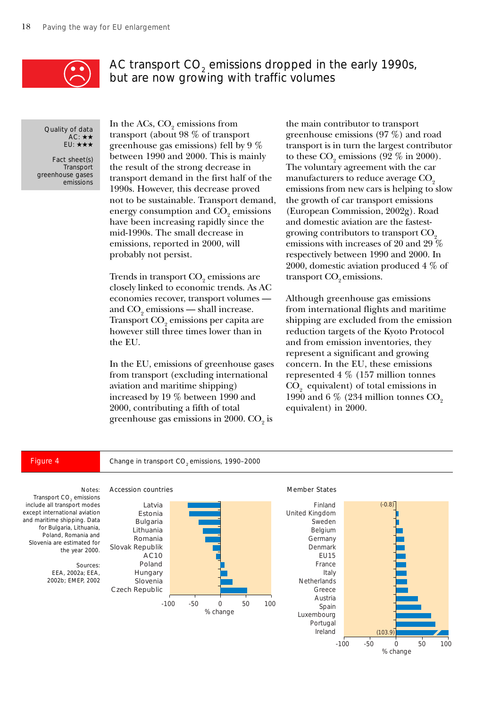

# AC transport CO<sub>2</sub> emissions dropped in the early 1990s, but are now growing with traffic volumes

Quality of data AC: ★★ EU: ★★★

Fact sheet(s) **Transport** greenhouse gases emissions

In the ACs,  $\text{CO}_2$  emissions from transport (about 98 % of transport greenhouse gas emissions) fell by 9 % between 1990 and 2000. This is mainly the result of the strong decrease in transport demand in the first half of the 1990s. However, this decrease proved not to be sustainable. Transport demand, energy consumption and  $\mathrm{CO}_\mathrm{2}$  emissions have been increasing rapidly since the mid-1990s. The small decrease in emissions, reported in 2000, will probably not persist.

Trends in transport  $\mathrm{CO}_2^{}$  emissions are closely linked to economic trends. As AC economies recover, transport volumes and  $\mathrm{CO}_2$  emissions — shall increase. Transport  $\mathrm{CO}_2$  emissions per capita are however still three times lower than in the EU.

In the EU, emissions of greenhouse gases from transport (excluding international aviation and maritime shipping) increased by 19 % between 1990 and 2000, contributing a fifth of total greenhouse gas emissions in 2000.  $\mathrm{CO}_2^{}$  is

the main contributor to transport greenhouse emissions (97 %) and road transport is in turn the largest contributor to these  $\text{CO}_2$  emissions (92 % in 2000). The voluntary agreement with the car manufacturers to reduce average CO<sub>2</sub> emissions from new cars is helping to slow the growth of car transport emissions (European Commission, 2002g). Road and domestic aviation are the fastestgrowing contributors to transport  $CO<sub>2</sub>$ emissions with increases of 20 and 29 % respectively between 1990 and 2000. In 2000, domestic aviation produced 4 % of transport CO<sub>2</sub> emissions.

Although greenhouse gas emissions from international flights and maritime shipping are excluded from the emission reduction targets of the Kyoto Protocol and from emission inventories, they represent a significant and growing concern. In the EU, these emissions represented 4 % (157 million tonnes  $\mathrm{CO}_2^{\phantom{\dag}}$  equivalent) of total emissions in 1990 and 6  $\%$  (234 million tonnes CO<sub>2</sub> equivalent) in 2000.

% change

### Notes: Transport CO<sub>2</sub> emissions include all transport modes except international aviation and maritime shipping. Data for Bulgaria, Lithuania, Poland, Romania and Slovenia are estimated for the year 2000. Sources: EEA, 2002a; EEA, 2002b; EMEP, 2002 -100 -50 0 50 100 Latvia Estonia Bulgaria Lithuania Romania Slovak Republik AC10 Poland Hungary Slovenia Czech Republic % change -100 -50 0 50 100 Finland United Kingdom Sweden Belgium Germany Denmark EU15 France Italy Netherlands Greece Austria Spain Luxembourg Portugal Ireland  $( -0.8)$  $(103)$ Accession countries and the Member States Figure 4 Change in transport CO<sub>2</sub> emissions, 1990-2000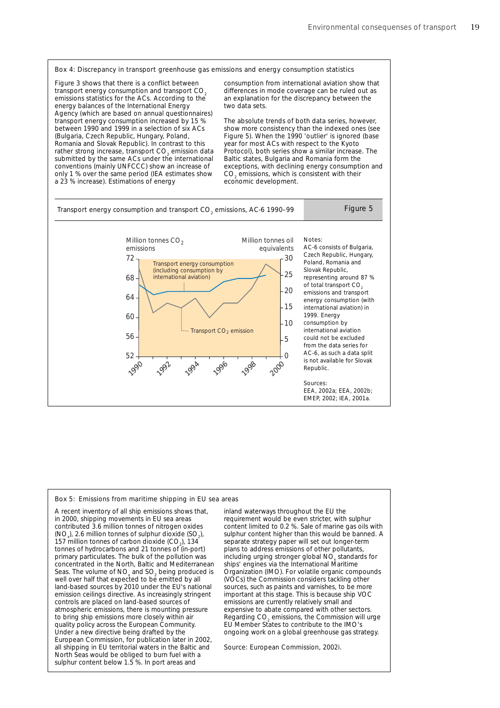

Figure 3 shows that there is a conflict between transport energy consumption and transport CO. emissions statistics for the ACs. According to the energy balances of the International Energy Agency (which are based on annual questionnaires) transport energy consumption increased by 15 % between 1990 and 1999 in a selection of six ACs (Bulgaria, Czech Republic, Hungary, Poland, Romania and Slovak Republic). In contrast to this rather strong increase, transport  $CO_2$  emission data submitted by the same ACs under the international conventions (mainly UNFCCC) show an increase of only 1 % over the same period (IEA estimates show a 23 % increase). Estimations of energy

consumption from international aviation show that differences in mode coverage can be ruled out as an explanation for the discrepancy between the two data sets.

The absolute trends of both data series, however, show more consistency than the indexed ones (see Figure 5). When the 1990 'outlier' is ignored (base year for most ACs with respect to the Kyoto Protocol), both series show a similar increase. The Baltic states, Bulgaria and Romania form the exceptions, with declining energy consumption and  $CO<sub>2</sub>$  emissions, which is consistent with their economic development.



### Box 5: Emissions from maritime shipping in EU sea areas

A recent inventory of all ship emissions shows that, in 2000, shipping movements in EU sea areas contributed 3.6 million tonnes of nitrogen oxides  $(NO<sub>x</sub>)$ , 2.6 million tonnes of sulphur dioxide  $(SO<sub>2</sub>)$ , 157 million tonnes of carbon dioxide  $(CO<sub>2</sub>)$ , 134 tonnes of hydrocarbons and 21 tonnes of (in-port) primary particulates. The bulk of the pollution was concentrated in the North, Baltic and Mediterranean Seas. The volume of  $NO_x$  and  $SO_2$  being produced is well over half that expected to be emitted by all land-based sources by 2010 under the EU's national emission ceilings directive. As increasingly stringent controls are placed on land-based sources of atmospheric emissions, there is mounting pressure to bring ship emissions more closely within air quality policy across the European Community. Under a new directive being drafted by the European Commission, for publication later in 2002, all shipping in EU territorial waters in the Baltic and North Seas would be obliged to burn fuel with a sulphur content below 1.5 %. In port areas and

inland waterways throughout the EU the requirement would be even stricter, with sulphur content limited to 0.2 %. Sale of marine gas oils with sulphur content higher than this would be banned. A separate strategy paper will set out longer-term plans to address emissions of other pollutants, including urging stronger global NO<sub>x</sub> standards for ships' engines via the International Maritime Organization (IMO). For volatile organic compounds (VOCs) the Commission considers tackling other sources, such as paints and varnishes, to be more important at this stage. This is because ship VOC emissions are currently relatively small and expensive to abate compared with other sectors. Regarding  $CO<sub>2</sub>$  emissions, the Commission will urge EU Member States to contribute to the IMO's ongoing work on a global greenhouse gas strategy.

Source: European Commission, 2002i.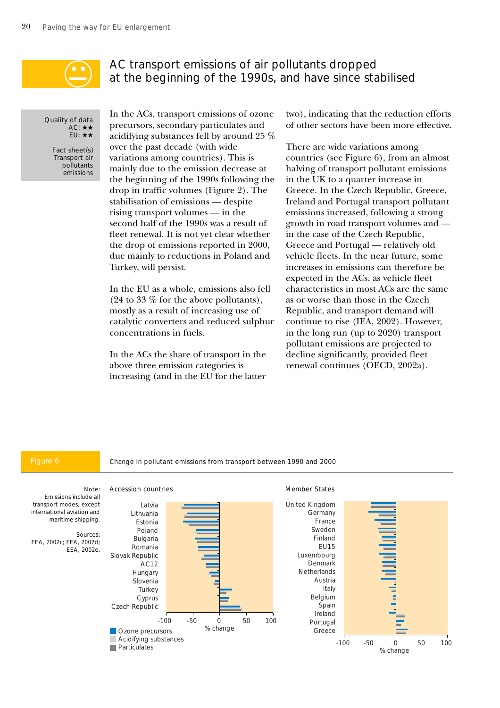

# AC transport emissions of air pollutants dropped at the beginning of the 1990s, and have since stabilised

Quality of data AC: ★★ EU: ★★

Fact sheet(s) Transport air pollutants .<br>emissions

In the ACs, transport emissions of ozone precursors, secondary particulates and acidifying substances fell by around 25 % over the past decade (with wide variations among countries). This is mainly due to the emission decrease at the beginning of the 1990s following the drop in traffic volumes (Figure 2). The stabilisation of emissions — despite rising transport volumes — in the second half of the 1990s was a result of fleet renewal. It is not yet clear whether the drop of emissions reported in 2000, due mainly to reductions in Poland and Turkey, will persist.

In the EU as a whole, emissions also fell (24 to 33 % for the above pollutants), mostly as a result of increasing use of catalytic converters and reduced sulphur concentrations in fuels.

In the ACs the share of transport in the above three emission categories is increasing (and in the EU for the latter

two), indicating that the reduction efforts of other sectors have been more effective.

There are wide variations among countries (see Figure 6), from an almost halving of transport pollutant emissions in the UK to a quarter increase in Greece. In the Czech Republic, Greece, Ireland and Portugal transport pollutant emissions increased, following a strong growth in road transport volumes and in the case of the Czech Republic, Greece and Portugal — relatively old vehicle fleets. In the near future, some increases in emissions can therefore be expected in the ACs, as vehicle fleet characteristics in most ACs are the same as or worse than those in the Czech Republic, and transport demand will continue to rise (IEA, 2002). However, in the long run (up to 2020) transport pollutant emissions are projected to decline significantly, provided fleet renewal continues (OECD, 2002a).

Figure 6 Change in pollutant emissions from transport between 1990 and 2000

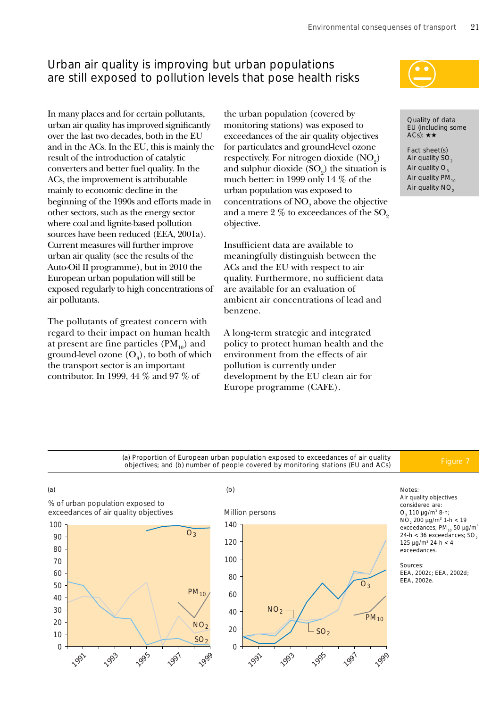# Urban air quality is improving but urban populations are still exposed to pollution levels that pose health risks

In many places and for certain pollutants, urban air quality has improved significantly over the last two decades, both in the EU and in the ACs. In the EU, this is mainly the result of the introduction of catalytic converters and better fuel quality. In the ACs, the improvement is attributable mainly to economic decline in the beginning of the 1990s and efforts made in other sectors, such as the energy sector where coal and lignite-based pollution sources have been reduced (EEA, 2001a). Current measures will further improve urban air quality (see the results of the Auto-Oil II programme), but in 2010 the European urban population will still be exposed regularly to high concentrations of air pollutants.

The pollutants of greatest concern with regard to their impact on human health at present are fine particles  $(PM_{10})$  and ground-level ozone  $(\text{O}_{\scriptscriptstyle{3}})$ , to both of which the transport sector is an important contributor. In 1999, 44 % and 97 % of

the urban population (covered by monitoring stations) was exposed to exceedances of the air quality objectives for particulates and ground-level ozone respectively. For nitrogen dioxide  $(\text{NO}_2)$ and sulphur dioxide  $(SO_2)$  the situation is much better: in 1999 only 14 % of the urban population was exposed to concentrations of  $\mathrm{NO}_2$  above the objective and a mere  $2\%$  to exceedances of the  $SO<sub>2</sub>$ objective.

Insufficient data are available to meaningfully distinguish between the ACs and the EU with respect to air quality. Furthermore, no sufficient data are available for an evaluation of ambient air concentrations of lead and benzene.

A long-term strategic and integrated policy to protect human health and the environment from the effects of air pollution is currently under development by the EU clean air for Europe programme (CAFE).



Quality of data EU (including some ACs):  $\star \star$ 

Fact sheet(s) Air quality SO<sub>2</sub> Air quality  $O<sub>2</sub>$ Air quality  $PM_{10}$ Air quality  $NO<sub>2</sub>$ 

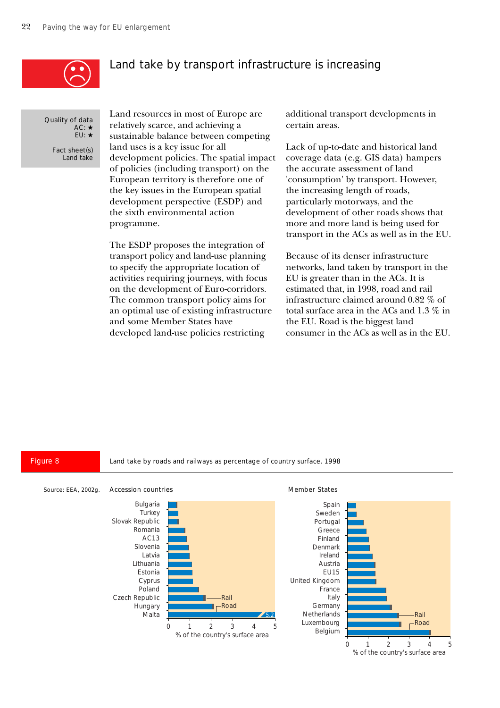

## Land take by transport infrastructure is increasing

Quality of data AC: ★ EU: ★

Fact sheet(s) Land take Land resources in most of Europe are relatively scarce, and achieving a sustainable balance between competing land uses is a key issue for all development policies. The spatial impact of policies (including transport) on the European territory is therefore one of the key issues in the European spatial development perspective (ESDP) and the sixth environmental action programme.

The ESDP proposes the integration of transport policy and land-use planning to specify the appropriate location of activities requiring journeys, with focus on the development of Euro-corridors. The common transport policy aims for an optimal use of existing infrastructure and some Member States have developed land-use policies restricting

additional transport developments in certain areas.

Lack of up-to-date and historical land coverage data (e.g. GIS data) hampers the accurate assessment of land 'consumption' by transport. However, the increasing length of roads, particularly motorways, and the development of other roads shows that more and more land is being used for transport in the ACs as well as in the EU.

Because of its denser infrastructure networks, land taken by transport in the EU is greater than in the ACs. It is estimated that, in 1998, road and rail infrastructure claimed around 0.82 % of total surface area in the ACs and 1.3 % in the EU. Road is the biggest land consumer in the ACs as well as in the EU.

Figure 8 Land take by roads and railways as percentage of country surface, 1998

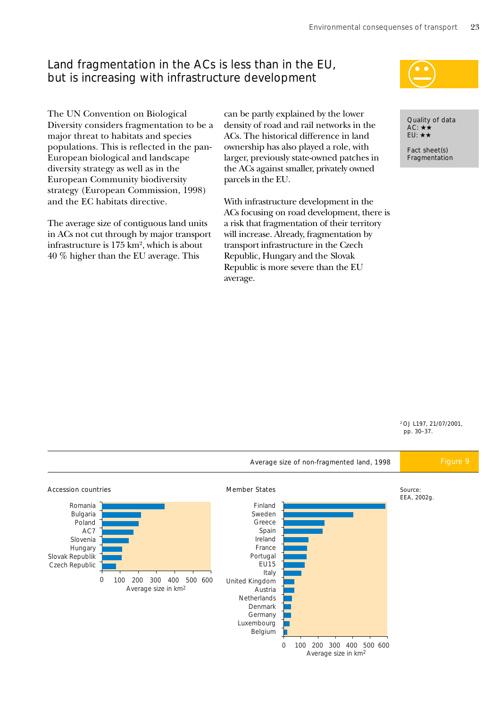# Land fragmentation in the ACs is less than in the EU, but is increasing with infrastructure development

The UN Convention on Biological Diversity considers fragmentation to be a major threat to habitats and species populations. This is reflected in the pan-European biological and landscape diversity strategy as well as in the European Community biodiversity strategy (European Commission, 1998) and the EC habitats directive.

The average size of contiguous land units in ACs not cut through by major transport infrastructure is  $175 \mathrm{~km^2}$ , which is about 40 % higher than the EU average. This

can be partly explained by the lower density of road and rail networks in the ACs. The historical difference in land ownership has also played a role, with larger, previously state-owned patches in the ACs against smaller, privately owned parcels in the EU.

With infrastructure development in the ACs focusing on road development, there is a risk that fragmentation of their territory will increase. Already, fragmentation by transport infrastructure in the Czech Republic, Hungary and the Slovak Republic is more severe than the EU average.



Quality of data AC: ★★ EU: ★★

Fact sheet(s) Fragmentation

2 OJ L197, 21/07/2001, pp. 30–37.

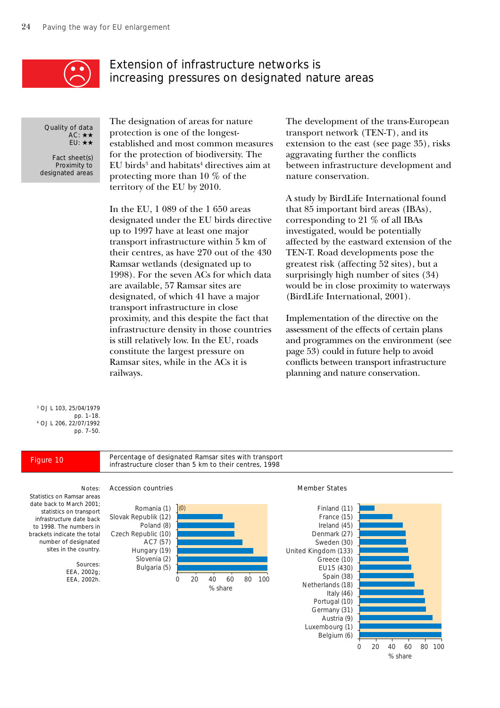

# Extension of infrastructure networks is increasing pressures on designated nature areas

Quality of data AC: ★★ EU: ★★

Fact sheet(s) Proximity to designated areas

The designation of areas for nature protection is one of the longestestablished and most common measures for the protection of biodiversity. The  ${\rm EU~birds^3}$  and habitats $^4$  directives aim at protecting more than 10 % of the territory of the EU by 2010.

In the EU, 1 089 of the 1 650 areas designated under the EU birds directive up to 1997 have at least one major transport infrastructure within 5 km of their centres, as have 270 out of the 430 Ramsar wetlands (designated up to 1998). For the seven ACs for which data are available, 57 Ramsar sites are designated, of which 41 have a major transport infrastructure in close proximity, and this despite the fact that infrastructure density in those countries is still relatively low. In the EU, roads constitute the largest pressure on Ramsar sites, while in the ACs it is railways.

The development of the trans-European transport network (TEN-T), and its extension to the east (see page 35), risks aggravating further the conflicts between infrastructure development and nature conservation.

A study by BirdLife International found that 85 important bird areas (IBAs), corresponding to 21 % of all IBAs investigated, would be potentially affected by the eastward extension of the TEN-T. Road developments pose the greatest risk (affecting 52 sites), but a surprisingly high number of sites (34) would be in close proximity to waterways (BirdLife International, 2001).

Implementation of the directive on the assessment of the effects of certain plans and programmes on the environment (see page 53) could in future help to avoid conflicts between transport infrastructure planning and nature conservation.

3 OJ L 103, 25/04/1979 pp. 1–18. 4 OJ L 206, 22/07/1992 pp. 7–50.

Percentage of designated Ramsar sites with transport Figure 10 Figure 10 Fercentage of designated Ramsar sites with transport infrastructure closer than 5 km to their centres, 1998



### Notes: Accession countries Member States



Statistics on Ramsar areas date back to March 2001; statistics on transport infrastructure date back to 1998. The numbers in brackets indicate the total number of designated sites in the country.

> Sources: EEA, 2002g; EEA, 2002h.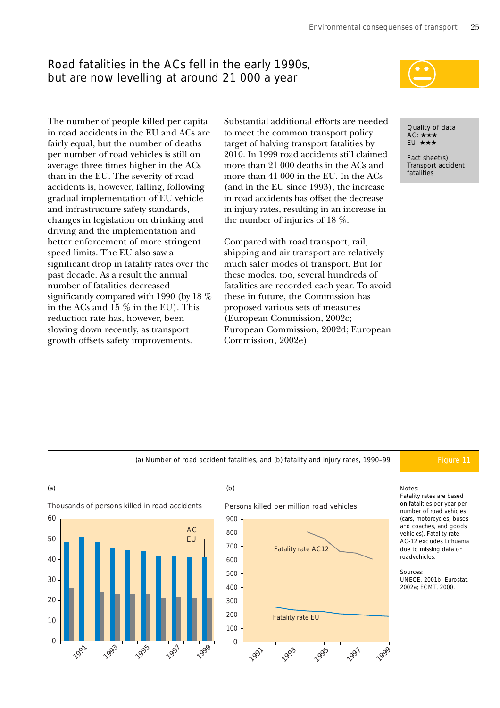# Road fatalities in the ACs fell in the early 1990s, but are now levelling at around 21 000 a year



The number of people killed per capita in road accidents in the EU and ACs are fairly equal, but the number of deaths per number of road vehicles is still on average three times higher in the ACs than in the EU. The severity of road accidents is, however, falling, following gradual implementation of EU vehicle and infrastructure safety standards, changes in legislation on drinking and driving and the implementation and better enforcement of more stringent speed limits. The EU also saw a significant drop in fatality rates over the past decade. As a result the annual number of fatalities decreased significantly compared with 1990 (by 18 % in the ACs and 15 % in the EU). This reduction rate has, however, been slowing down recently, as transport growth offsets safety improvements.

Substantial additional efforts are needed to meet the common transport policy target of halving transport fatalities by 2010. In 1999 road accidents still claimed more than 21 000 deaths in the ACs and more than 41 000 in the EU. In the ACs (and in the EU since 1993), the increase in road accidents has offset the decrease in injury rates, resulting in an increase in the number of injuries of 18 %.

Compared with road transport, rail, shipping and air transport are relatively much safer modes of transport. But for these modes, too, several hundreds of fatalities are recorded each year. To avoid these in future, the Commission has proposed various sets of measures (European Commission, 2002c; European Commission, 2002d; European Commission, 2002e)

Quality of data  $AC: \star \star \star$ EU: ★★★

Fact sheet(s) Transport accident fatalities

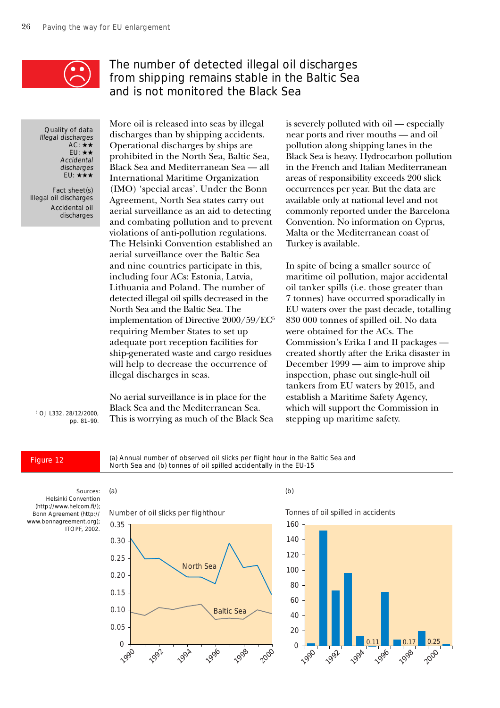

# The number of detected illegal oil discharges from shipping remains stable in the Baltic Sea and is not monitored the Black Sea

Quality of data Illegal discharges  $AC: +$ EU: ★★ Accidental discharges EU: ★★★

Fact sheet(s) Illegal oil discharges Accidental oil discharges

More oil is released into seas by illegal discharges than by shipping accidents. Operational discharges by ships are prohibited in the North Sea, Baltic Sea, Black Sea and Mediterranean Sea — all International Maritime Organization (IMO) 'special areas'. Under the Bonn Agreement, North Sea states carry out aerial surveillance as an aid to detecting and combating pollution and to prevent violations of anti-pollution regulations. The Helsinki Convention established an aerial surveillance over the Baltic Sea and nine countries participate in this, including four ACs: Estonia, Latvia, Lithuania and Poland. The number of detected illegal oil spills decreased in the North Sea and the Baltic Sea. The implementation of Directive 2000/59/EC5 requiring Member States to set up adequate port reception facilities for ship-generated waste and cargo residues will help to decrease the occurrence of illegal discharges in seas.

No aerial surveillance is in place for the Black Sea and the Mediterranean Sea. This is worrying as much of the Black Sea

is severely polluted with oil — especially near ports and river mouths — and oil pollution along shipping lanes in the Black Sea is heavy. Hydrocarbon pollution in the French and Italian Mediterranean areas of responsibility exceeds 200 slick occurrences per year. But the data are available only at national level and not commonly reported under the Barcelona Convention. No information on Cyprus, Malta or the Mediterranean coast of Turkey is available.

In spite of being a smaller source of maritime oil pollution, major accidental oil tanker spills (i.e. those greater than 7 tonnes) have occurred sporadically in EU waters over the past decade, totalling 830 000 tonnes of spilled oil. No data were obtained for the ACs. The Commission's Erika I and II packages created shortly after the Erika disaster in December 1999 — aim to improve ship inspection, phase out single-hull oil tankers from EU waters by 2015, and establish a Maritime Safety Agency, which will support the Commission in stepping up maritime safety.

5 OJ L332, 28/12/2000, pp. 81–90.

(a) Annual number of observed oil slicks per flight hour in the Baltic Sea and Figure 12 (a) Annual number of observed oil slicks per flight hour in the B<br>North Sea and (b) tonnes of oil spilled accidentally in the EU-15

Helsinki Convention (http://www.helcom.fi/); Bonn Agreement (http:// www.bonnagreement.org); **ITOPF**, 2002.

Sources:



### $(a)$  (b)

Tonnes of oil spilled in accidents

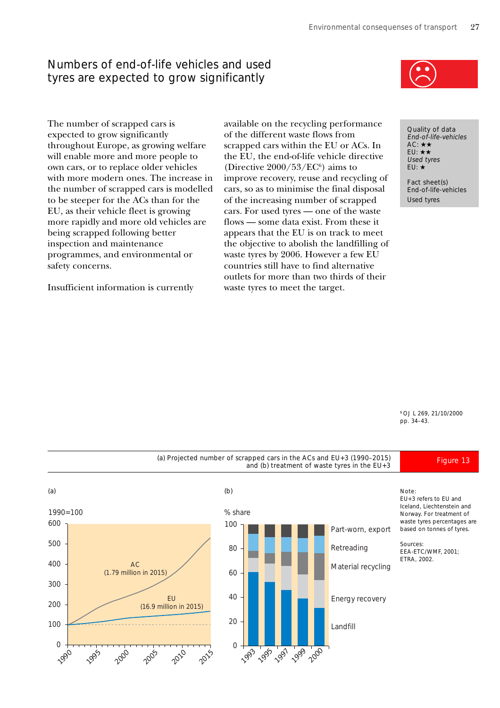# Numbers of end-of-life vehicles and used tyres are expected to grow significantly



The number of scrapped cars is expected to grow significantly throughout Europe, as growing welfare will enable more and more people to own cars, or to replace older vehicles with more modern ones. The increase in the number of scrapped cars is modelled to be steeper for the ACs than for the EU, as their vehicle fleet is growing more rapidly and more old vehicles are being scrapped following better inspection and maintenance programmes, and environmental or safety concerns.

Insufficient information is currently

available on the recycling performance of the different waste flows from scrapped cars within the EU or ACs. In the EU, the end-of-life vehicle directive (Directive  $2000/53/EC^6$ ) aims to improve recovery, reuse and recycling of cars, so as to minimise the final disposal of the increasing number of scrapped cars. For used tyres — one of the waste flows — some data exist. From these it appears that the EU is on track to meet the objective to abolish the landfilling of waste tyres by 2006. However a few EU countries still have to find alternative outlets for more than two thirds of their waste tyres to meet the target.

Quality of data End-of-life-vehicles  $AC: \star \star$ EU: ★★ Used tyres EU: ★

Fact sheet(s) End-of-life-vehicles Used tyres

6 OJ L 269, 21/10/2000 pp. 34–43.

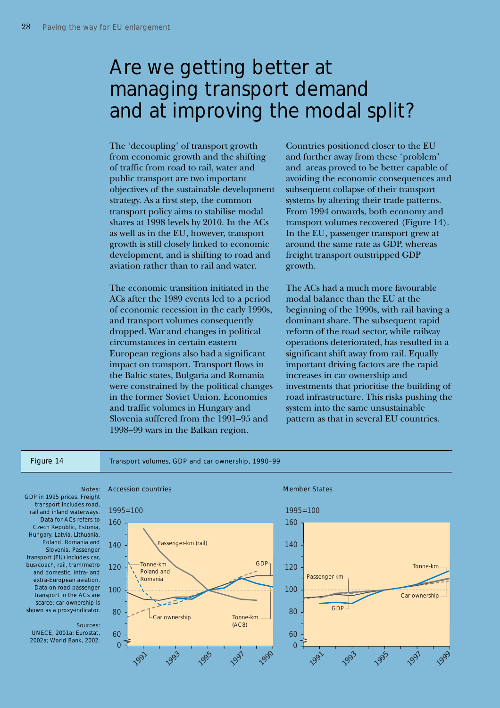# Are we getting better at managing transport demand and at improving the modal split?

The 'decoupling' of transport growth from economic growth and the shifting of traffic from road to rail, water and public transport are two important objectives of the sustainable development strategy. As a first step, the common transport policy aims to stabilise modal shares at 1998 levels by 2010. In the ACs as well as in the EU, however, transport growth is still closely linked to economic development, and is shifting to road and aviation rather than to rail and water.

The economic transition initiated in the ACs after the 1989 events led to a period of economic recession in the early 1990s, and transport volumes consequently dropped. War and changes in political circumstances in certain eastern European regions also had a significant impact on transport. Transport flows in the Baltic states, Bulgaria and Romania were constrained by the political changes in the former Soviet Union. Economies and traffic volumes in Hungary and Slovenia suffered from the 1991–95 and 1998–99 wars in the Balkan region.

Countries positioned closer to the EU and further away from these 'problem' and areas proved to be better capable of avoiding the economic consequences and subsequent collapse of their transport systems by altering their trade patterns. From 1994 onwards, both economy and transport volumes recovered (Figure 14). In the EU, passenger transport grew at around the same rate as GDP, whereas freight transport outstripped GDP growth.

The ACs had a much more favourable modal balance than the EU at the beginning of the 1990s, with rail having a dominant share. The subsequent rapid reform of the road sector, while railway operations deteriorated, has resulted in a significant shift away from rail. Equally important driving factors are the rapid increases in car ownership and investments that prioritise the building of road infrastructure. This risks pushing the system into the same unsustainable pattern as that in several EU countries.

Figure 14 Transport volumes, GDP and car ownership, 1990–99



GDP in 1995 prices. Freight transport includes road, rail and inland waterways. Data for ACs refers to Czech Republic, Estonia, Hungary, Latvia, Lithuania, Poland, Romania and Slovenia. Passenger transport (EU) includes car, bus/coach, rail, tram/metro and domestic, intra- and extra-European aviation. Data on road passenger transport in the ACs are scarce; car ownership is shown as a proxy-indicator.

### Sources:

UNECE, 2001a; Eurostat, 2002a; World Bank, 2002.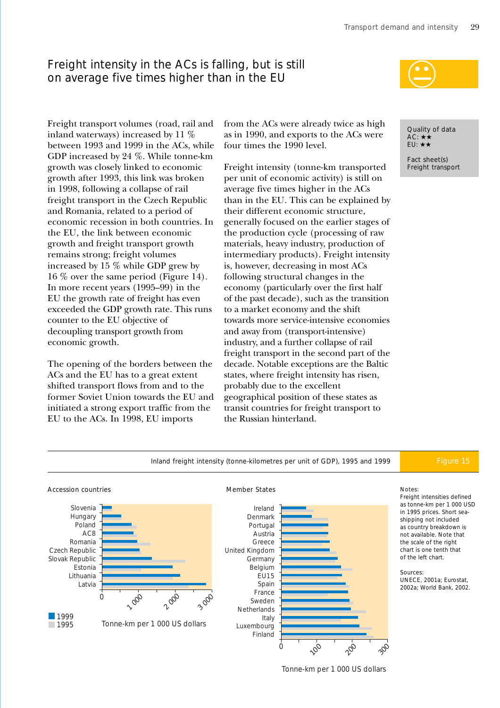# Freight intensity in the ACs is falling, but is still on average five times higher than in the EU

from the ACs were already twice as high as in 1990, and exports to the ACs were four times the 1990 level.

Freight intensity (tonne-km transported per unit of economic activity) is still on average five times higher in the ACs than in the EU. This can be explained by their different economic structure, generally focused on the earlier stages of the production cycle (processing of raw materials, heavy industry, production of intermediary products). Freight intensity is, however, decreasing in most ACs following structural changes in the economy (particularly over the first half of the past decade), such as the transition to a market economy and the shift towards more service-intensive economies and away from (transport-intensive) industry, and a further collapse of rail freight transport in the second part of the decade. Notable exceptions are the Baltic states, where freight intensity has risen, probably due to the excellent geographical position of these states as transit countries for freight transport to the Russian hinterland.



Quality of data  $AC: \star \star$ EU: ★★

Fact sheet(s) Freight transport

Freight transport volumes (road, rail and inland waterways) increased by 11 % between 1993 and 1999 in the ACs, while GDP increased by 24 %. While tonne-km growth was closely linked to economic growth after 1993, this link was broken in 1998, following a collapse of rail freight transport in the Czech Republic and Romania, related to a period of economic recession in both countries. In the EU, the link between economic growth and freight transport growth remains strong; freight volumes increased by 15 % while GDP grew by 16 % over the same period (Figure 14). In more recent years (1995–99) in the EU the growth rate of freight has even exceeded the GDP growth rate. This runs counter to the EU objective of decoupling transport growth from economic growth.

The opening of the borders between the ACs and the EU has to a great extent shifted transport flows from and to the former Soviet Union towards the EU and initiated a strong export traffic from the EU to the ACs. In 1998, EU imports



Tonne-km per 1 000 US dollars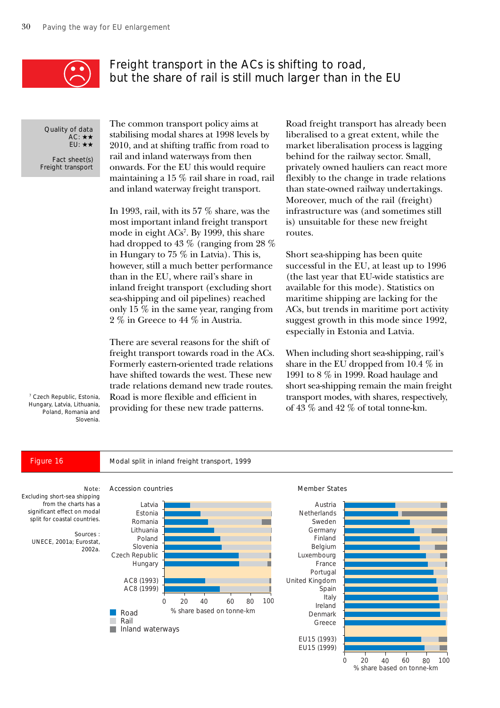

# Freight transport in the ACs is shifting to road, but the share of rail is still much larger than in the EU

Quality of data AC: ★★ EU: ★★

Fact sheet(s) Freight transport

The common transport policy aims at stabilising modal shares at 1998 levels by 2010, and at shifting traffic from road to rail and inland waterways from then onwards. For the EU this would require maintaining a 15 % rail share in road, rail and inland waterway freight transport.

In 1993, rail, with its 57 % share, was the most important inland freight transport mode in eight ACs7 . By 1999, this share had dropped to 43 % (ranging from 28 % in Hungary to 75 % in Latvia). This is, however, still a much better performance than in the EU, where rail's share in inland freight transport (excluding short sea-shipping and oil pipelines) reached only 15 % in the same year, ranging from 2 % in Greece to 44 % in Austria.

There are several reasons for the shift of freight transport towards road in the ACs. Formerly eastern-oriented trade relations have shifted towards the west. These new trade relations demand new trade routes. Road is more flexible and efficient in providing for these new trade patterns.

Road freight transport has already been liberalised to a great extent, while the market liberalisation process is lagging behind for the railway sector. Small, privately owned hauliers can react more flexibly to the change in trade relations than state-owned railway undertakings. Moreover, much of the rail (freight) infrastructure was (and sometimes still is) unsuitable for these new freight routes.

Short sea-shipping has been quite successful in the EU, at least up to 1996 (the last year that EU-wide statistics are available for this mode). Statistics on maritime shipping are lacking for the ACs, but trends in maritime port activity suggest growth in this mode since 1992, especially in Estonia and Latvia.

When including short sea-shipping, rail's share in the EU dropped from 10.4 % in 1991 to 8 % in 1999. Road haulage and short sea-shipping remain the main freight transport modes, with shares, respectively, of 43 % and 42 % of total tonne-km.

7 Czech Republic, Estonia, Hungary, Latvia, Lithuania, Poland, Romania and Slovenia.

Figure 16 Modal split in inland freight transport, 1999



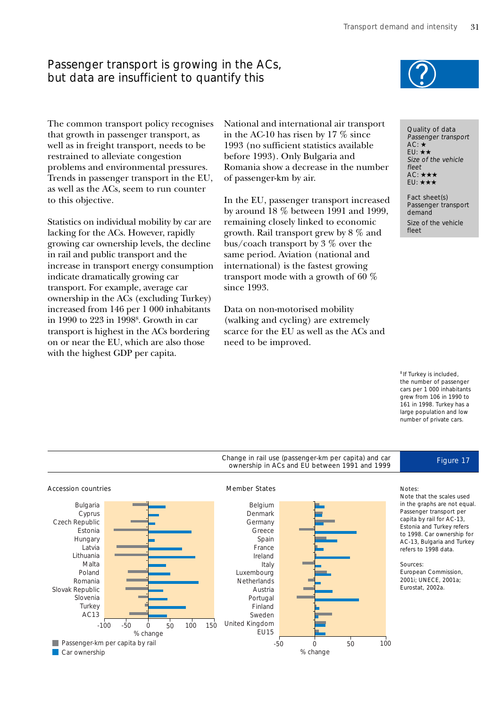# Passenger transport is growing in the ACs, but data are insufficient to quantify this

The common transport policy recognises that growth in passenger transport, as well as in freight transport, needs to be restrained to alleviate congestion problems and environmental pressures. Trends in passenger transport in the EU, as well as the ACs, seem to run counter to this objective.

Statistics on individual mobility by car are lacking for the ACs. However, rapidly growing car ownership levels, the decline in rail and public transport and the increase in transport energy consumption indicate dramatically growing car transport. For example, average car ownership in the ACs (excluding Turkey) increased from 146 per 1 000 inhabitants in 1990 to 223 in 1998<sup>8</sup>. Growth in car transport is highest in the ACs bordering on or near the EU, which are also those with the highest GDP per capita.

National and international air transport in the AC-10 has risen by 17 % since 1993 (no sufficient statistics available before 1993). Only Bulgaria and Romania show a decrease in the number of passenger-km by air.

In the EU, passenger transport increased by around 18 % between 1991 and 1999, remaining closely linked to economic growth. Rail transport grew by 8 % and bus/coach transport by 3 % over the same period. Aviation (national and international) is the fastest growing transport mode with a growth of 60 % since 1993.

Data on non-motorised mobility (walking and cycling) are extremely scarce for the EU as well as the ACs and need to be improved.

Quality of data Passenger transport AC: ★ EU: ★★ Size of the vehicle fleet AC: ★★★ EU: ★★★

Fact sheet(s) Passenger transport demand Size of the vehicle fleet

<sup>8</sup> If Turkey is included. the number of passenger cars per 1 000 inhabitants grew from 106 in 1990 to 161 in 1998. Turkey has a large population and low number of private cars.



### Notes:

Note that the scales used in the graphs are not equal. Passenger transport per capita by rail for AC-13, Estonia and Turkey refers to 1998. Car ownership for AC-13, Bulgaria and Turkey refers to 1998 data.

### Sources:

European Commission, 2001i; UNECE, 2001a; Eurostat, 2002a.



Change in rail use (passenger-km per capita) and car hange in rail use (passenger-km per capita) and car<br>ownership in ACs and EU between 1991 and 1999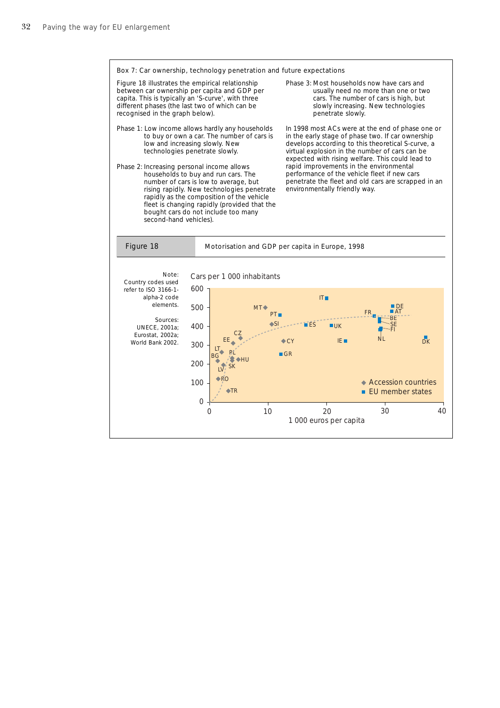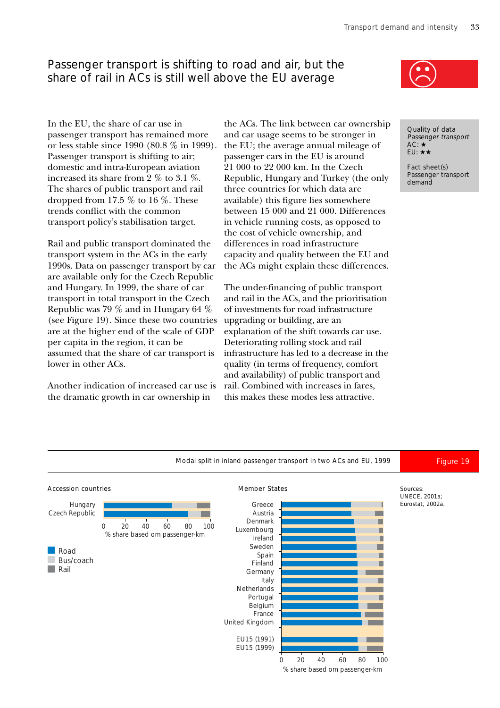# Passenger transport is shifting to road and air, but the share of rail in ACs is still well above the EU average

In the EU, the share of car use in passenger transport has remained more or less stable since 1990 (80.8 % in 1999). Passenger transport is shifting to air; domestic and intra-European aviation increased its share from 2 % to 3.1 %. The shares of public transport and rail dropped from 17.5  $\%$  to 16  $\%$ . These trends conflict with the common transport policy's stabilisation target.

Rail and public transport dominated the transport system in the ACs in the early 1990s. Data on passenger transport by car are available only for the Czech Republic and Hungary. In 1999, the share of car transport in total transport in the Czech Republic was 79 % and in Hungary 64 % (see Figure 19). Since these two countries are at the higher end of the scale of GDP per capita in the region, it can be assumed that the share of car transport is lower in other ACs.

Another indication of increased car use is the dramatic growth in car ownership in

the ACs. The link between car ownership and car usage seems to be stronger in the EU; the average annual mileage of passenger cars in the EU is around 21 000 to 22 000 km. In the Czech Republic, Hungary and Turkey (the only three countries for which data are available) this figure lies somewhere between 15 000 and 21 000. Differences in vehicle running costs, as opposed to the cost of vehicle ownership, and differences in road infrastructure capacity and quality between the EU and the ACs might explain these differences.

The under-financing of public transport and rail in the ACs, and the prioritisation of investments for road infrastructure upgrading or building, are an explanation of the shift towards car use. Deteriorating rolling stock and rail infrastructure has led to a decrease in the quality (in terms of frequency, comfort and availability) of public transport and rail. Combined with increases in fares, this makes these modes less attractive.



Quality of data Passenger transport AC: ★ EU: ★★

Fact sheet(s) Passenger transport demand

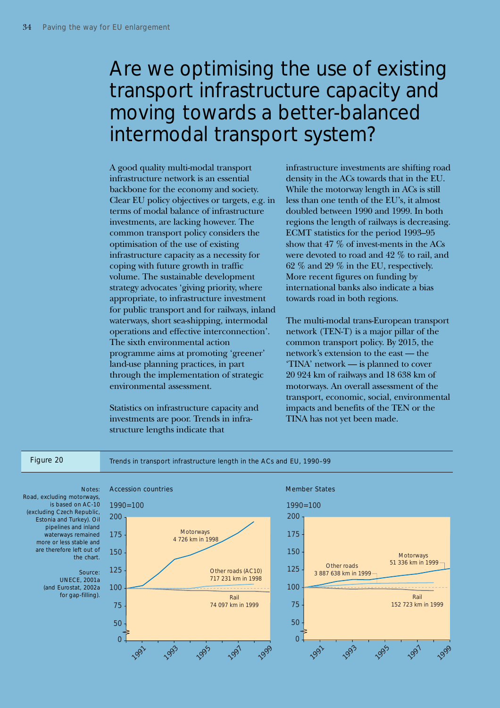# Are we optimising the use of existing transport infrastructure capacity and moving towards a better-balanced intermodal transport system?

A good quality multi-modal transport infrastructure network is an essential backbone for the economy and society. Clear EU policy objectives or targets, e.g. in terms of modal balance of infrastructure investments, are lacking however. The common transport policy considers the optimisation of the use of existing infrastructure capacity as a necessity for coping with future growth in traffic volume. The sustainable development strategy advocates 'giving priority, where appropriate, to infrastructure investment for public transport and for railways, inland waterways, short sea-shipping, intermodal operations and effective interconnection'. The sixth environmental action programme aims at promoting 'greener' land-use planning practices, in part through the implementation of strategic environmental assessment.

Statistics on infrastructure capacity and investments are poor. Trends in infrastructure lengths indicate that

infrastructure investments are shifting road density in the ACs towards that in the EU. While the motorway length in ACs is still less than one tenth of the EU's, it almost doubled between 1990 and 1999. In both regions the length of railways is decreasing. ECMT statistics for the period 1993–95 show that 47 % of invest-ments in the ACs were devoted to road and 42 % to rail, and 62 % and 29 % in the EU, respectively. More recent figures on funding by international banks also indicate a bias towards road in both regions.

The multi-modal trans-European transport network (TEN-T) is a major pillar of the common transport policy. By 2015, the network's extension to the east — the 'TINA' network — is planned to cover 20 924 km of railways and 18 638 km of motorways. An overall assessment of the transport, economic, social, environmental impacts and benefits of the TEN or the TINA has not yet been made.

Figure 20 Trends in transport infrastructure length in the ACs and EU, 1990-99

Road, excluding motorways, is based on AC-10 (excluding Czech Republic, Estonia and Turkey). Oil pipelines and inland waterways remained more or less stable and are therefore left out of the chart.

### Source:

UNECE, 2001a (and Eurostat, 2002a for gap-filling).



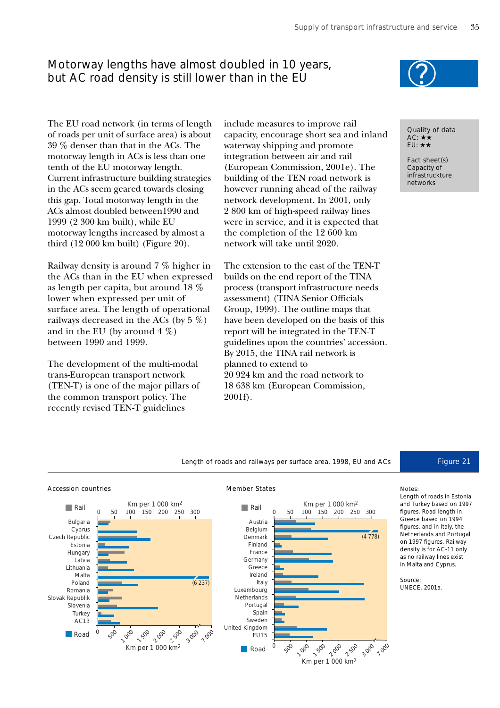# Motorway lengths have almost doubled in 10 years, but AC road density is still lower than in the EU



The EU road network (in terms of length of roads per unit of surface area) is about 39 % denser than that in the ACs. The motorway length in ACs is less than one tenth of the EU motorway length. Current infrastructure building strategies in the ACs seem geared towards closing this gap. Total motorway length in the ACs almost doubled between1990 and 1999 (2 300 km built), while EU motorway lengths increased by almost a third (12 000 km built) (Figure 20).

Railway density is around 7 % higher in the ACs than in the EU when expressed as length per capita, but around 18 % lower when expressed per unit of surface area. The length of operational railways decreased in the ACs (by 5 %) and in the EU (by around  $4\%$ ) between 1990 and 1999.

The development of the multi-modal trans-European transport network (TEN-T) is one of the major pillars of the common transport policy. The recently revised TEN-T guidelines

include measures to improve rail capacity, encourage short sea and inland waterway shipping and promote integration between air and rail (European Commission, 2001e). The building of the TEN road network is however running ahead of the railway network development. In 2001, only 2 800 km of high-speed railway lines were in service, and it is expected that the completion of the 12 600 km network will take until 2020.

The extension to the east of the TEN-T builds on the end report of the TINA process (transport infrastructure needs assessment) (TINA Senior Officials Group, 1999). The outline maps that have been developed on the basis of this report will be integrated in the TEN-T guidelines upon the countries' accession. By 2015, the TINA rail network is planned to extend to 20 924 km and the road network to 18 638 km (European Commission, 2001f).



Fact sheet(s) Capacity of infrastruckture networks

Length of roads and railways per surface area, 1998, EU and ACs Figure 21







### Notes:

Length of roads in Estonia and Turkey based on 1997 figures. Road length in Greece based on 1994 figures, and in Italy, the Netherlands and Portugal on 1997 figures. Railway density is for AC-11 only as no railway lines exist in Malta and Cyprus.

### Source: UNECE, 2001a.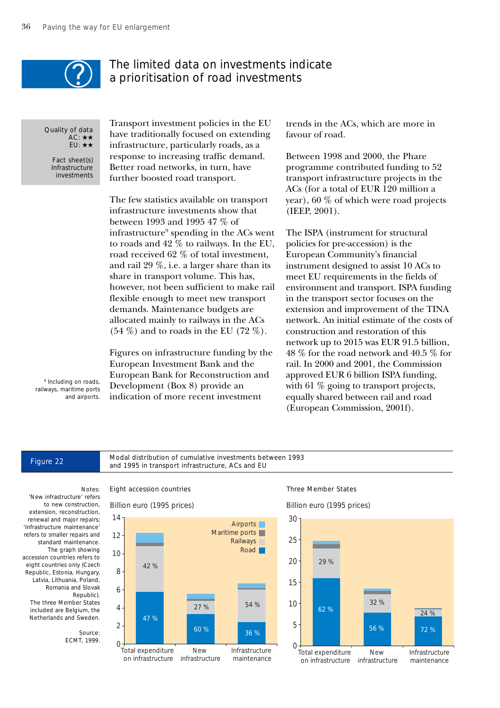

## The limited data on investments indicate a prioritisation of road investments

Quality of data AC: ★★ EU: ★★

Fact sheet(s) Infrastructure investments Transport investment policies in the EU have traditionally focused on extending infrastructure, particularly roads, as a response to increasing traffic demand. Better road networks, in turn, have further boosted road transport.

The few statistics available on transport infrastructure investments show that between 1993 and 1995 47 % of infrastructure9 spending in the ACs went to roads and 42 % to railways. In the EU, road received 62 % of total investment, and rail 29 %, i.e. a larger share than its share in transport volume. This has, however, not been sufficient to make rail flexible enough to meet new transport demands. Maintenance budgets are allocated mainly to railways in the ACs  $(54 \%)$  and to roads in the EU  $(72 \%)$ .

Figures on infrastructure funding by the European Investment Bank and the European Bank for Reconstruction and Development (Box 8) provide an indication of more recent investment

trends in the ACs, which are more in favour of road.

Between 1998 and 2000, the Phare programme contributed funding to 52 transport infrastructure projects in the ACs (for a total of EUR 120 million a year), 60 % of which were road projects (IEEP, 2001).

The ISPA (instrument for structural policies for pre-accession) is the European Community's financial instrument designed to assist 10 ACs to meet EU requirements in the fields of environment and transport. ISPA funding in the transport sector focuses on the extension and improvement of the TINA network. An initial estimate of the costs of construction and restoration of this network up to 2015 was EUR 91.5 billion, 48 % for the road network and 40.5 % for rail. In 2000 and 2001, the Commission approved EUR 6 billion ISPA funding, with 61 % going to transport projects, equally shared between rail and road (European Commission, 2001f).

<sup>9</sup> Including on roads, railways, maritime ports and airports.

Figure 22 Modal distribution of cumulative investments between 1993 and 1995 in transport infrastructure, ACs and EU

## 'New infrastructure' refers

to new construction, extension, reconstruction, renewal and major repairs; 'Infrastructure maintenance' refers to smaller repairs and standard maintenance. The graph showing accession countries refers to eight countries only (Czech Republic, Estonia, Hungary, Latvia, Lithuania, Poland, Romania and Slovak Republic). The three Member States

included are Belgium, the Netherlands and Sweden.

> Source: ECMT, 1999.

Billion euro (1995 prices)



### Notes: Eight accession countries Three Member States

Billion euro (1995 prices)

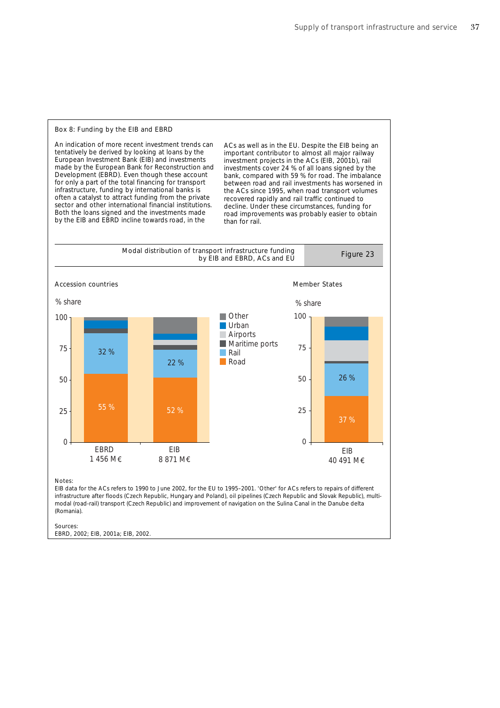### Box 8: Funding by the EIB and EBRD

An indication of more recent investment trends can tentatively be derived by looking at loans by the European Investment Bank (EIB) and investments made by the European Bank for Reconstruction and Development (EBRD). Even though these account for only a part of the total financing for transport infrastructure, funding by international banks is often a catalyst to attract funding from the private sector and other international financial institutions. Both the loans signed and the investments made by the EIB and EBRD incline towards road, in the

ACs as well as in the EU. Despite the EIB being an important contributor to almost all major railway investment projects in the ACs (EIB, 2001b), rail investments cover 24 % of all loans signed by the bank, compared with 59 % for road. The imbalance between road and rail investments has worsened in the ACs since 1995, when road transport volumes recovered rapidly and rail traffic continued to decline. Under these circumstances, funding for road improvements was probably easier to obtain than for rail.



infrastructure after floods (Czech Republic, Hungary and Poland), oil pipelines (Czech Republic and Slovak Republic), multimodal (road-rail) transport (Czech Republic) and improvement of navigation on the Sulina Canal in the Danube delta (Romania).

EBRD, 2002; EIB, 2001a; EIB, 2002.

Sources: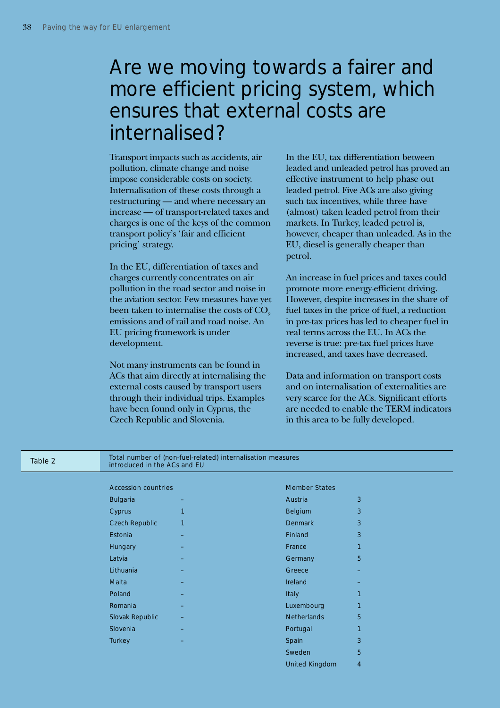# Are we moving towards a fairer and more efficient pricing system, which ensures that external costs are internalised?

Transport impacts such as accidents, air pollution, climate change and noise impose considerable costs on society. Internalisation of these costs through a restructuring — and where necessary an increase — of transport-related taxes and charges is one of the keys of the common transport policy's 'fair and efficient pricing' strategy.

In the EU, differentiation of taxes and charges currently concentrates on air pollution in the road sector and noise in the aviation sector. Few measures have yet been taken to internalise the costs of  $CO<sub>2</sub>$ emissions and of rail and road noise. An EU pricing framework is under development.

Not many instruments can be found in ACs that aim directly at internalising the external costs caused by transport users through their individual trips. Examples have been found only in Cyprus, the Czech Republic and Slovenia.

In the EU, tax differentiation between leaded and unleaded petrol has proved an effective instrument to help phase out leaded petrol. Five ACs are also giving such tax incentives, while three have (almost) taken leaded petrol from their markets. In Turkey, leaded petrol is, however, cheaper than unleaded. As in the EU, diesel is generally cheaper than petrol.

An increase in fuel prices and taxes could promote more energy-efficient driving. However, despite increases in the share of fuel taxes in the price of fuel, a reduction in pre-tax prices has led to cheaper fuel in real terms across the EU. In ACs the reverse is true: pre-tax fuel prices have increased, and taxes have decreased.

Data and information on transport costs and on internalisation of externalities are very scarce for the ACs. Significant efforts are needed to enable the TERM indicators in this area to be fully developed.

United Kingdom 4

| Table 2 | introduced in the ACs and EU | Total number of (non-fuel-related) internalisation measures |                      |              |
|---------|------------------------------|-------------------------------------------------------------|----------------------|--------------|
|         | <b>Accession countries</b>   |                                                             | <b>Member States</b> |              |
|         | <b>Bulgaria</b>              |                                                             | Austria              | 3            |
|         | Cyprus                       | 1                                                           | Belgium              | 3            |
|         | <b>Czech Republic</b>        | 1                                                           | <b>Denmark</b>       | 3            |
|         | Estonia                      |                                                             | Finland              | 3            |
|         | Hungary                      |                                                             | France               | $\mathbf{1}$ |
|         | Latvia                       |                                                             | Germany              | 5            |
|         | Lithuania                    |                                                             | Greece               |              |
|         | Malta                        |                                                             | <b>Ireland</b>       |              |
|         | Poland                       |                                                             | Italy                | 1            |
|         | Romania                      |                                                             | Luxembourg           | 1            |
|         | Slovak Republic              |                                                             | <b>Netherlands</b>   | 5            |
|         | Slovenia                     |                                                             | Portugal             | $\mathbf{1}$ |
|         | Turkey                       |                                                             | Spain                | 3            |
|         |                              |                                                             | Sweden               | 5            |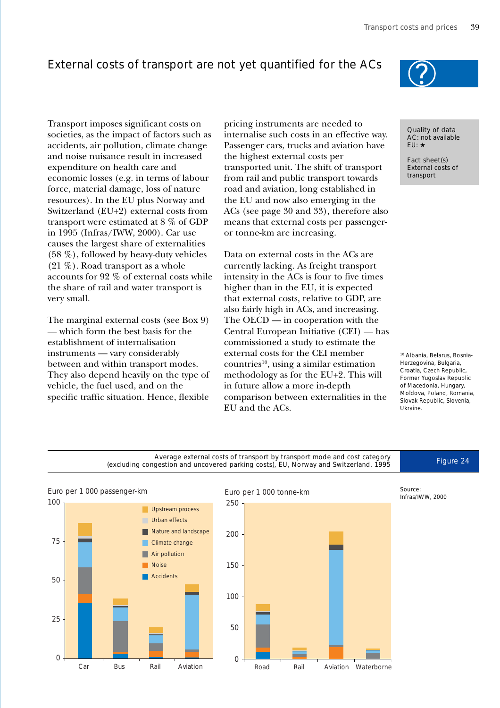# External costs of transport are not yet quantified for the ACs

Transport imposes significant costs on societies, as the impact of factors such as accidents, air pollution, climate change and noise nuisance result in increased expenditure on health care and economic losses (e.g. in terms of labour force, material damage, loss of nature resources). In the EU plus Norway and Switzerland (EU+2) external costs from transport were estimated at 8 % of GDP in 1995 (Infras/IWW, 2000). Car use causes the largest share of externalities (58 %), followed by heavy-duty vehicles (21 %). Road transport as a whole accounts for 92 % of external costs while the share of rail and water transport is very small.

The marginal external costs (see Box 9) — which form the best basis for the establishment of internalisation instruments — vary considerably between and within transport modes. They also depend heavily on the type of vehicle, the fuel used, and on the specific traffic situation. Hence, flexible pricing instruments are needed to internalise such costs in an effective way. Passenger cars, trucks and aviation have the highest external costs per transported unit. The shift of transport from rail and public transport towards road and aviation, long established in the EU and now also emerging in the ACs (see page 30 and 33), therefore also means that external costs per passengeror tonne-km are increasing.

Data on external costs in the ACs are currently lacking. As freight transport intensity in the ACs is four to five times higher than in the EU, it is expected that external costs, relative to GDP, are also fairly high in ACs, and increasing. The OECD — in cooperation with the Central European Initiative (CEI) — has commissioned a study to estimate the external costs for the CEI member  $countries<sup>10</sup>$ , using a similar estimation methodology as for the EU+2. This will in future allow a more in-depth comparison between externalities in the EU and the ACs.



Quality of data AC: not available EU: ★

Fact sheet(s) External costs of transport

10 Albania, Belarus, Bosnia-Herzegovina, Bulgaria, Croatia, Czech Republic, Former Yugoslav Republic of Macedonia, Hungary, Moldova, Poland, Romania, Slovak Republic, Slovenia, Ukraine.

Average external costs of transport by transport mode and cost category<br>
restion and uncovered parking costs). ELL Norway and Switzerland, 1995 (excluding congestion and uncovered parking costs), EU, Norway and Switzerland, 1995



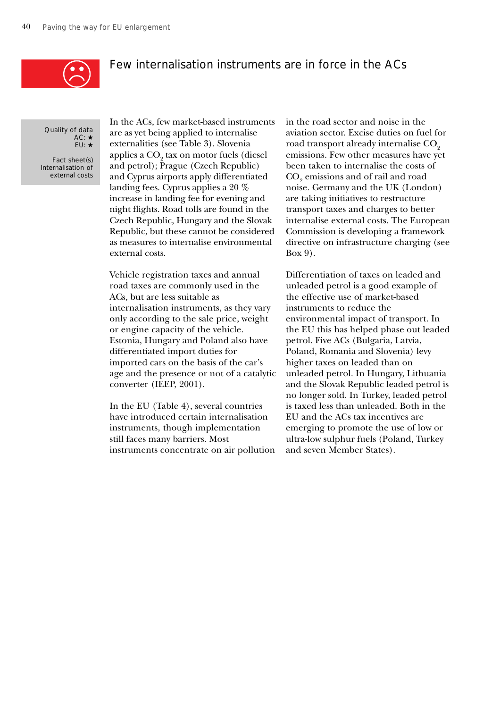

## Few internalisation instruments are in force in the ACs

Quality of data AC: ★ EU: ★

Fact sheet(s) Internalisation of external costs In the ACs, few market-based instruments are as yet being applied to internalise externalities (see Table 3). Slovenia applies a CO $_{\tiny 2}$  tax on motor fuels (diesel and petrol); Prague (Czech Republic) and Cyprus airports apply differentiated landing fees. Cyprus applies a 20 % increase in landing fee for evening and night flights. Road tolls are found in the Czech Republic, Hungary and the Slovak Republic, but these cannot be considered as measures to internalise environmental external costs.

Vehicle registration taxes and annual road taxes are commonly used in the ACs, but are less suitable as internalisation instruments, as they vary only according to the sale price, weight or engine capacity of the vehicle. Estonia, Hungary and Poland also have differentiated import duties for imported cars on the basis of the car's age and the presence or not of a catalytic converter (IEEP, 2001).

In the EU (Table 4), several countries have introduced certain internalisation instruments, though implementation still faces many barriers. Most instruments concentrate on air pollution

in the road sector and noise in the aviation sector. Excise duties on fuel for road transport already internalise CO<sub>2</sub> emissions. Few other measures have yet been taken to internalise the costs of  $\mathrm{CO}_\mathrm{2}$  emissions and of rail and road noise. Germany and the UK (London) are taking initiatives to restructure transport taxes and charges to better internalise external costs. The European Commission is developing a framework directive on infrastructure charging (see Box 9).

Differentiation of taxes on leaded and unleaded petrol is a good example of the effective use of market-based instruments to reduce the environmental impact of transport. In the EU this has helped phase out leaded petrol. Five ACs (Bulgaria, Latvia, Poland, Romania and Slovenia) levy higher taxes on leaded than on unleaded petrol. In Hungary, Lithuania and the Slovak Republic leaded petrol is no longer sold. In Turkey, leaded petrol is taxed less than unleaded. Both in the EU and the ACs tax incentives are emerging to promote the use of low or ultra-low sulphur fuels (Poland, Turkey and seven Member States).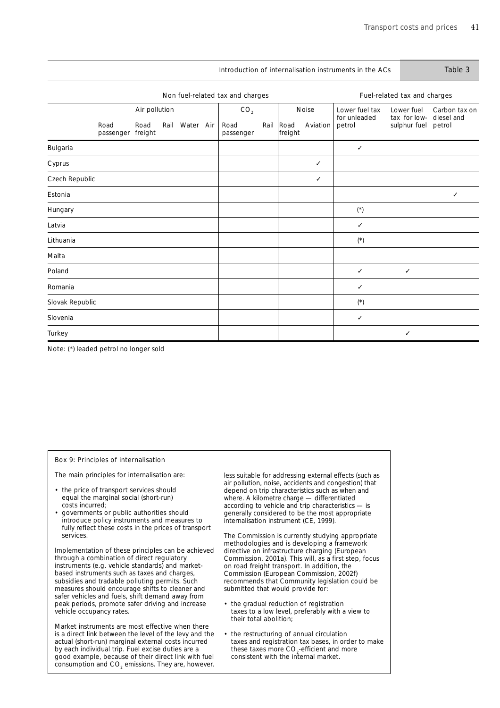|                                        |                                  |               |  |                |  |                   |      |                 |                              | Introduction of internalisation instruments in the ACs |                              | Table 3              |
|----------------------------------------|----------------------------------|---------------|--|----------------|--|-------------------|------|-----------------|------------------------------|--------------------------------------------------------|------------------------------|----------------------|
|                                        | Non fuel-related tax and charges |               |  |                |  |                   |      |                 | Fuel-related tax and charges |                                                        |                              |                      |
|                                        |                                  | Air pollution |  |                |  | CO <sub>2</sub>   |      |                 | Noise                        | Lower fuel tax                                         | Lower fuel                   | Carbon tax on        |
|                                        | Road<br>passenger freight        | Road          |  | Rail Water Air |  | Road<br>passenger | Rail | Road<br>freight | Aviation                     | for unleaded<br>petrol                                 | tax for low-<br>sulphur fuel | diesel and<br>petrol |
| Bulgaria                               |                                  |               |  |                |  |                   |      |                 |                              | ✓                                                      |                              |                      |
| Cyprus                                 |                                  |               |  |                |  |                   |      |                 | ✓                            |                                                        |                              |                      |
| Czech Republic                         |                                  |               |  |                |  |                   |      |                 | ✓                            |                                                        |                              |                      |
| Estonia                                |                                  |               |  |                |  |                   |      |                 |                              |                                                        |                              | ✓                    |
| Hungary                                |                                  |               |  |                |  |                   |      |                 |                              | $(\dot{\phantom{a}})$                                  |                              |                      |
| Latvia                                 |                                  |               |  |                |  |                   |      |                 |                              | ✓                                                      |                              |                      |
| Lithuania                              |                                  |               |  |                |  |                   |      |                 |                              | $(\dot{\phantom{a}})$                                  |                              |                      |
| Malta                                  |                                  |               |  |                |  |                   |      |                 |                              |                                                        |                              |                      |
| Poland                                 |                                  |               |  |                |  |                   |      |                 |                              | ✓                                                      | $\checkmark$                 |                      |
| Romania                                |                                  |               |  |                |  |                   |      |                 |                              | ✓                                                      |                              |                      |
| Slovak Republic                        |                                  |               |  |                |  |                   |      |                 |                              | $(\dot{\phantom{a}})$                                  |                              |                      |
| Slovenia                               |                                  |               |  |                |  |                   |      |                 |                              | ✓                                                      |                              |                      |
| Turkey                                 |                                  |               |  |                |  |                   |      |                 |                              |                                                        | $\checkmark$                 |                      |
| Note: (*) leaded petrol no longer sold |                                  |               |  |                |  |                   |      |                 |                              |                                                        |                              |                      |

### Box 9: Principles of internalisation

The main principles for internalisation are:

- the price of transport services should equal the marginal social (short-run) costs incurred;
- governments or public authorities should introduce policy instruments and measures to fully reflect these costs in the prices of transport services.

Implementation of these principles can be achieved through a combination of direct regulatory instruments (e.g. vehicle standards) and marketbased instruments such as taxes and charges, subsidies and tradable polluting permits. Such measures should encourage shifts to cleaner and safer vehicles and fuels, shift demand away from peak periods, promote safer driving and increase vehicle occupancy rates.

Market instruments are most effective when there is a direct link between the level of the levy and the actual (short-run) marginal external costs incurred by each individual trip. Fuel excise duties are a good example, because of their direct link with fuel consumption and  $CO<sub>2</sub>$  emissions. They are, however,

less suitable for addressing external effects (such as air pollution, noise, accidents and congestion) that depend on trip characteristics such as when and where. A kilometre charge — differentiated according to vehicle and trip characteristics — is generally considered to be the most appropriate internalisation instrument (CE, 1999).

The Commission is currently studying appropriate methodologies and is developing a framework directive on infrastructure charging (European Commission, 2001a). This will, as a first step, focus on road freight transport. In addition, the Commission (European Commission, 2002f) recommends that Community legislation could be submitted that would provide for:

- the gradual reduction of registration taxes to a low level, preferably with a view to their total abolition;
- the restructuring of annual circulation taxes and registration tax bases, in order to make these taxes more  $\mathrm{CO}_2$ -efficient and more consistent with the internal market.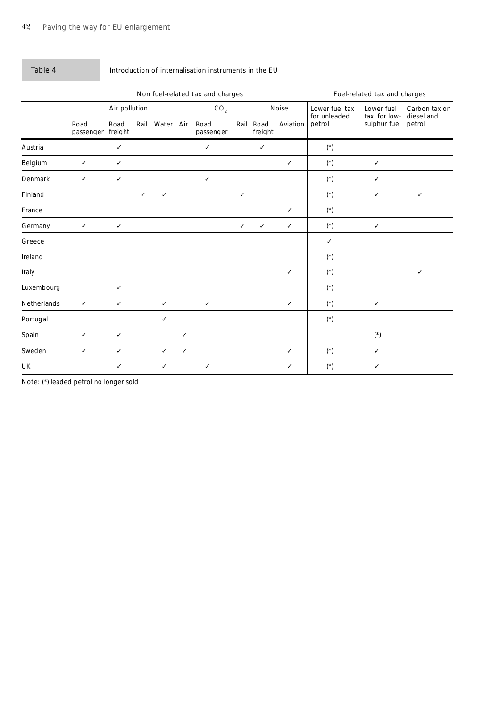| Table 4     | Introduction of internalisation instruments in the EU |                 |              |                                  |              |                   |              |                              |              |                                |                            |                             |
|-------------|-------------------------------------------------------|-----------------|--------------|----------------------------------|--------------|-------------------|--------------|------------------------------|--------------|--------------------------------|----------------------------|-----------------------------|
|             |                                                       |                 |              | Non fuel-related tax and charges |              |                   |              | Fuel-related tax and charges |              |                                |                            |                             |
|             |                                                       | Air pollution   |              |                                  |              | CO <sub>2</sub>   |              |                              | Noise        | Lower fuel tax<br>for unleaded | Lower fuel<br>tax for low- | Carbon tax on<br>diesel and |
|             | Road<br>passenger                                     | Road<br>freight | Rail         | Water Air                        |              | Road<br>passenger | Rail         | Road<br>freight              | Aviation     | petrol                         | sulphur fuel               | petrol                      |
| Austria     |                                                       | ✓               |              |                                  |              | ✓                 |              | ✓                            |              | $(\dot{\phantom{a}})$          |                            |                             |
| Belgium     | $\checkmark$                                          | $\checkmark$    |              |                                  |              |                   |              |                              | ✓            | $(\dot{\phantom{a}})$          | ✓                          |                             |
| Denmark     | $\checkmark$                                          | $\checkmark$    |              |                                  |              | $\checkmark$      |              |                              |              | $(\dot{\phantom{a}})$          | ✓                          |                             |
| Finland     |                                                       |                 | $\checkmark$ | $\checkmark$                     |              |                   | $\checkmark$ |                              |              | $(\dot{\phantom{a}})$          | $\checkmark$               | $\checkmark$                |
| France      |                                                       |                 |              |                                  |              |                   |              |                              | ✓            | $(\dot{\phantom{a}})$          |                            |                             |
| Germany     | $\checkmark$                                          | $\checkmark$    |              |                                  |              |                   | $\checkmark$ | ✓                            | $\checkmark$ | $(\dot{\phantom{a}})$          | ✓                          |                             |
| Greece      |                                                       |                 |              |                                  |              |                   |              |                              |              | ✓                              |                            |                             |
| Ireland     |                                                       |                 |              |                                  |              |                   |              |                              |              | $(\dot{\phantom{a}})$          |                            |                             |
| Italy       |                                                       |                 |              |                                  |              |                   |              |                              | ✓            | $(\mathbf{^{\star}})$          |                            | ✓                           |
| Luxembourg  |                                                       | ✓               |              |                                  |              |                   |              |                              |              | $(\dot{\phantom{a}})$          |                            |                             |
| Netherlands | $\checkmark$                                          | ✓               |              | $\checkmark$                     |              | $\checkmark$      |              |                              | ✓            | $(\dot{\phantom{a}})$          | ✓                          |                             |
| Portugal    |                                                       |                 |              | ✓                                |              |                   |              |                              |              | $(\dot{\phantom{a}})$          |                            |                             |
| Spain       | ✓                                                     | $\checkmark$    |              |                                  | ✓            |                   |              |                              |              |                                | $(\dot{\phantom{a}})$      |                             |
| Sweden      | $\checkmark$                                          | $\checkmark$    |              | $\checkmark$                     | $\checkmark$ |                   |              |                              | ✓            | $(\dot{\phantom{a}})$          | ✓                          |                             |
| UK          |                                                       | ✓               |              | ✓                                |              | ✓                 |              |                              | ✓            | $(\mathbf{^{\star}})$          | ✓                          |                             |

Note: (\*) leaded petrol no longer sold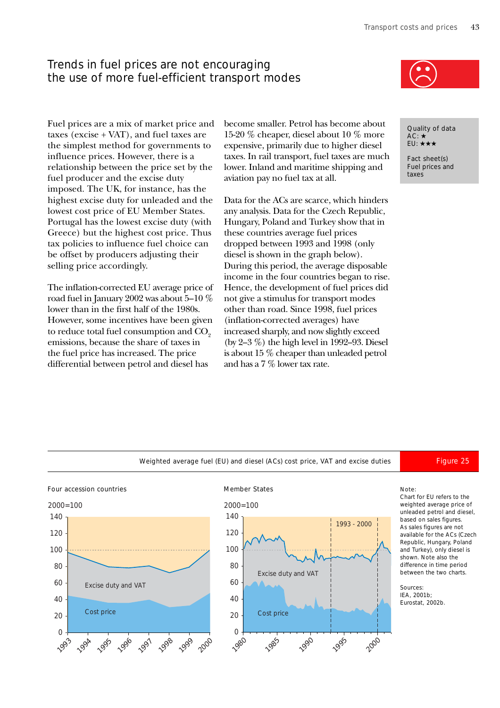# Trends in fuel prices are not encouraging the use of more fuel-efficient transport modes

become smaller. Petrol has become about 15-20 % cheaper, diesel about 10 % more expensive, primarily due to higher diesel taxes. In rail transport, fuel taxes are much lower. Inland and maritime shipping and aviation pay no fuel tax at all.

Data for the ACs are scarce, which hinders any analysis. Data for the Czech Republic, Hungary, Poland and Turkey show that in these countries average fuel prices dropped between 1993 and 1998 (only diesel is shown in the graph below). During this period, the average disposable income in the four countries began to rise. Hence, the development of fuel prices did not give a stimulus for transport modes other than road. Since 1998, fuel prices (inflation-corrected averages) have increased sharply, and now slightly exceed (by 2–3 %) the high level in 1992–93. Diesel is about 15 % cheaper than unleaded petrol and has a 7 % lower tax rate.



Quality of data AC: ★ EU: ★★★

Fact sheet(s) Fuel prices and taxes

Fuel prices are a mix of market price and taxes (excise + VAT), and fuel taxes are the simplest method for governments to influence prices. However, there is a relationship between the price set by the fuel producer and the excise duty imposed. The UK, for instance, has the highest excise duty for unleaded and the lowest cost price of EU Member States. Portugal has the lowest excise duty (with Greece) but the highest cost price. Thus tax policies to influence fuel choice can be offset by producers adjusting their selling price accordingly.

The inflation-corrected EU average price of road fuel in January 2002 was about 5–10 % lower than in the first half of the 1980s. However, some incentives have been given to reduce total fuel consumption and  $CO<sub>o</sub>$ emissions, because the share of taxes in the fuel price has increased. The price differential between petrol and diesel has



Four accession countries and the Member States Moment of the Member States Note:





Chart for EU refers to the weighted average price of unleaded petrol and diesel, based on sales figures. As sales figures are not available for the ACs (Czech Republic, Hungary, Poland and Turkey), only diesel is shown. Note also the difference in time period between the two charts.

### Sources:

IEA, 2001b; Eurostat, 2002b.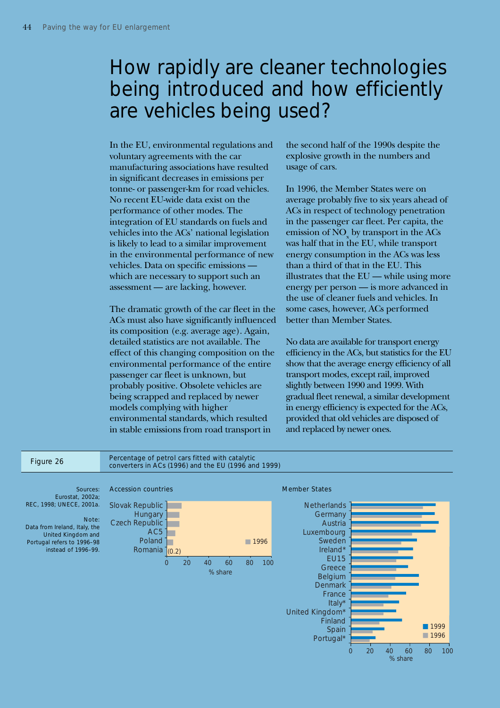# How rapidly are cleaner technologies being introduced and how efficiently are vehicles being used?

In the EU, environmental regulations and voluntary agreements with the car manufacturing associations have resulted in significant decreases in emissions per tonne- or passenger-km for road vehicles. No recent EU-wide data exist on the performance of other modes. The integration of EU standards on fuels and vehicles into the ACs' national legislation is likely to lead to a similar improvement in the environmental performance of new vehicles. Data on specific emissions which are necessary to support such an assessment — are lacking, however.

The dramatic growth of the car fleet in the ACs must also have significantly influenced its composition (e.g. average age). Again, detailed statistics are not available. The effect of this changing composition on the environmental performance of the entire passenger car fleet is unknown, but probably positive. Obsolete vehicles are being scrapped and replaced by newer models complying with higher environmental standards, which resulted in stable emissions from road transport in

the second half of the 1990s despite the explosive growth in the numbers and usage of cars.

In 1996, the Member States were on average probably five to six years ahead of ACs in respect of technology penetration in the passenger car fleet. Per capita, the emission of  $\mathrm{NO}_{\mathrm{x}}$  by transport in the ACs was half that in the EU, while transport energy consumption in the ACs was less than a third of that in the EU. This illustrates that the EU — while using more energy per person — is more advanced in the use of cleaner fuels and vehicles. In some cases, however, ACs performed better than Member States.

No data are available for transport energy efficiency in the ACs, but statistics for the EU show that the average energy efficiency of all transport modes, except rail, improved slightly between 1990 and 1999. With gradual fleet renewal, a similar development in energy efficiency is expected for the ACs, provided that old vehicles are disposed of and replaced by newer ones.

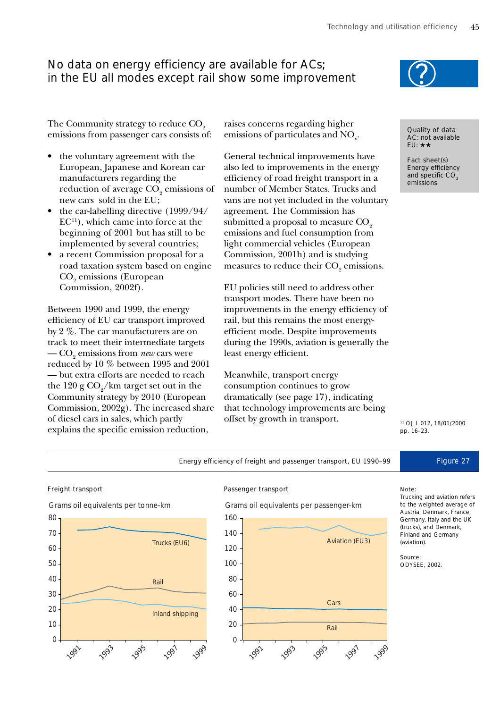# No data on energy efficiency are available for ACs; in the EU all modes except rail show some improvement

The Community strategy to reduce  $CO<sub>2</sub>$ emissions from passenger cars consists of:

- the voluntary agreement with the European, Japanese and Korean car manufacturers regarding the reduction of average CO<sub>2</sub> emissions of new cars sold in the EU;
- the car-labelling directive (1999/94/  $EC<sup>11</sup>$ ), which came into force at the beginning of 2001 but has still to be implemented by several countries;
- a recent Commission proposal for a road taxation system based on engine  $\mathrm{CO}_\mathrm{2}$  emissions (European Commission, 2002f).

Between 1990 and 1999, the energy efficiency of EU car transport improved by 2 %. The car manufacturers are on track to meet their intermediate targets  $-\mathrm{CO}_2$  emissions from *new* cars were reduced by 10 % between 1995 and 2001 — but extra efforts are needed to reach the  $120$  g  $\mathrm{CO}_2/\mathrm{km}$  target set out in the Community strategy by 2010 (European Commission, 2002g). The increased share of diesel cars in sales, which partly explains the specific emission reduction,

raises concerns regarding higher emissions of particulates and  $\mathrm{NO}_{\mathrm{x}}$ .

General technical improvements have also led to improvements in the energy efficiency of road freight transport in a number of Member States. Trucks and vans are not yet included in the voluntary agreement. The Commission has submitted a proposal to measure  $CO<sub>2</sub>$ emissions and fuel consumption from light commercial vehicles (European Commission, 2001h) and is studying measures to reduce their  $\mathrm{CO}_2$  emissions.

EU policies still need to address other transport modes. There have been no improvements in the energy efficiency of rail, but this remains the most energyefficient mode. Despite improvements during the 1990s, aviation is generally the least energy efficient.

Meanwhile, transport energy consumption continues to grow dramatically (see page 17), indicating that technology improvements are being offset by growth in transport.

Energy efficiency of freight and passenger transport, EU 1990-99 Figure 27



Quality of data AC: not available EU: ★★

Fact sheet(s) Energy efficiency and specific  $CO<sub>2</sub>$ emissions

pp. 16–23.





### Freight transport **Passenger transport**



### Note:

Trucking and aviation refers to the weighted average of Austria, Denmark, France, Germany, Italy and the UK (trucks), and Denmark, Finland and Germany (aviation).

Source: ODYSEE, 2002.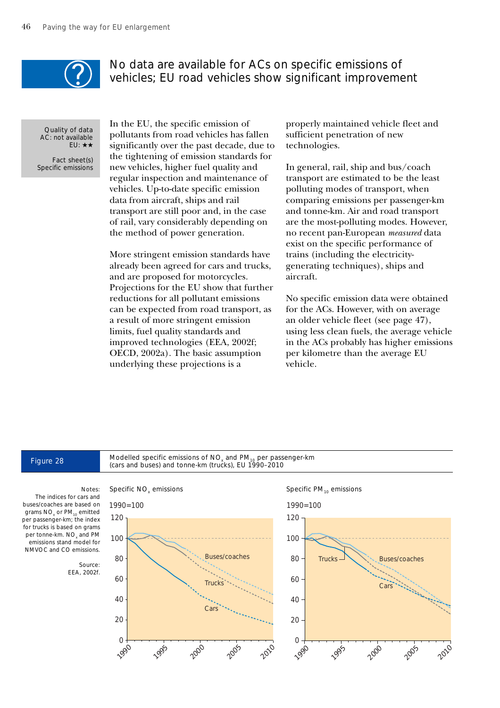

## No data are available for ACs on specific emissions of vehicles; EU road vehicles show significant improvement

Quality of data AC: not available EU: ★★

Fact sheet(s) Specific emissions In the EU, the specific emission of pollutants from road vehicles has fallen significantly over the past decade, due to the tightening of emission standards for new vehicles, higher fuel quality and regular inspection and maintenance of vehicles. Up-to-date specific emission data from aircraft, ships and rail transport are still poor and, in the case of rail, vary considerably depending on the method of power generation.

More stringent emission standards have already been agreed for cars and trucks, and are proposed for motorcycles. Projections for the EU show that further reductions for all pollutant emissions can be expected from road transport, as a result of more stringent emission limits, fuel quality standards and improved technologies (EEA, 2002f; OECD, 2002a). The basic assumption underlying these projections is a

properly maintained vehicle fleet and sufficient penetration of new technologies.

In general, rail, ship and bus/coach transport are estimated to be the least polluting modes of transport, when comparing emissions per passenger-km and tonne-km. Air and road transport are the most-polluting modes. However, no recent pan-European *measured* data exist on the specific performance of trains (including the electricitygenerating techniques), ships and aircraft.

No specific emission data were obtained for the ACs. However, with on average an older vehicle fleet (see page 47), using less clean fuels, the average vehicle in the ACs probably has higher emissions per kilometre than the average EU vehicle.

# Figure 28 Modelled specific emissions of NO<sub>x</sub> and PM<sub>10</sub> per passenger-km<br>(cars and buses) and tonne-km (trucks), EU 1990–2010



### Specific  $PM_{10}$  emissions

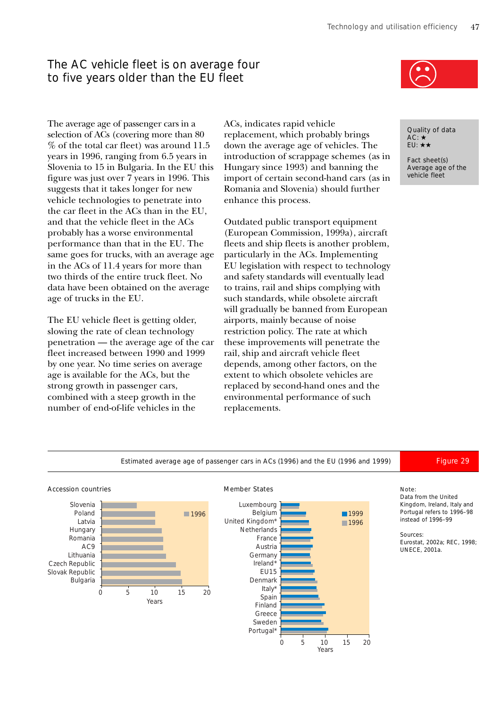# The AC vehicle fleet is on average four to five years older than the EU fleet

The average age of passenger cars in a selection of ACs (covering more than 80 % of the total car fleet) was around 11.5 years in 1996, ranging from 6.5 years in Slovenia to 15 in Bulgaria. In the EU this figure was just over 7 years in 1996. This suggests that it takes longer for new vehicle technologies to penetrate into the car fleet in the ACs than in the EU, and that the vehicle fleet in the ACs probably has a worse environmental performance than that in the EU. The same goes for trucks, with an average age in the ACs of 11.4 years for more than two thirds of the entire truck fleet. No data have been obtained on the average age of trucks in the EU.

The EU vehicle fleet is getting older, slowing the rate of clean technology penetration — the average age of the car fleet increased between 1990 and 1999 by one year. No time series on average age is available for the ACs, but the strong growth in passenger cars, combined with a steep growth in the number of end-of-life vehicles in the

ACs, indicates rapid vehicle replacement, which probably brings down the average age of vehicles. The introduction of scrappage schemes (as in Hungary since 1993) and banning the import of certain second-hand cars (as in Romania and Slovenia) should further enhance this process.

Outdated public transport equipment (European Commission, 1999a), aircraft fleets and ship fleets is another problem, particularly in the ACs. Implementing EU legislation with respect to technology and safety standards will eventually lead to trains, rail and ships complying with such standards, while obsolete aircraft will gradually be banned from European airports, mainly because of noise restriction policy. The rate at which these improvements will penetrate the rail, ship and aircraft vehicle fleet depends, among other factors, on the extent to which obsolete vehicles are replaced by second-hand ones and the environmental performance of such replacements.



Quality of data AC: ★ EU: ★★

Fact sheet(s) Average age of the vehicle fleet

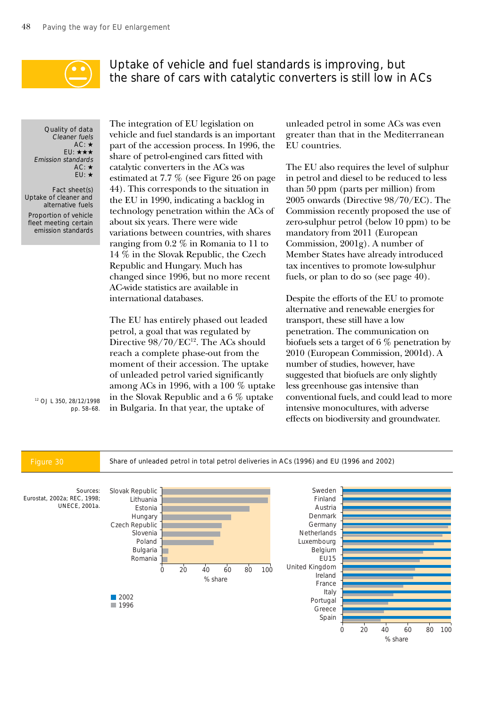

# Uptake of vehicle and fuel standards is improving, but the share of cars with catalytic converters is still low in ACs

Quality of data Cleaner fuels  $AC:$   $\star$ EU: ★★★ Emission standards AC: ★ EU: ★

Fact sheet(s) Uptake of cleaner and alternative fuels Proportion of vehicle fleet meeting certain emission standards The integration of EU legislation on vehicle and fuel standards is an important part of the accession process. In 1996, the share of petrol-engined cars fitted with catalytic converters in the ACs was estimated at 7.7 % (see Figure 26 on page 44). This corresponds to the situation in the EU in 1990, indicating a backlog in technology penetration within the ACs of about six years. There were wide variations between countries, with shares ranging from 0.2 % in Romania to 11 to 14 % in the Slovak Republic, the Czech Republic and Hungary. Much has changed since 1996, but no more recent AC-wide statistics are available in international databases.

The EU has entirely phased out leaded petrol, a goal that was regulated by Directive  $98/70$ /EC<sup>12</sup>. The ACs should reach a complete phase-out from the moment of their accession. The uptake of unleaded petrol varied significantly among ACs in 1996, with a 100 % uptake in the Slovak Republic and a 6 % uptake in Bulgaria. In that year, the uptake of

unleaded petrol in some ACs was even greater than that in the Mediterranean EU countries.

The EU also requires the level of sulphur in petrol and diesel to be reduced to less than 50 ppm (parts per million) from 2005 onwards (Directive 98/70/EC). The Commission recently proposed the use of zero-sulphur petrol (below 10 ppm) to be mandatory from 2011 (European Commission, 2001g). A number of Member States have already introduced tax incentives to promote low-sulphur fuels, or plan to do so (see page 40).

Despite the efforts of the EU to promote alternative and renewable energies for transport, these still have a low penetration. The communication on biofuels sets a target of 6 % penetration by 2010 (European Commission, 2001d). A number of studies, however, have suggested that biofuels are only slightly less greenhouse gas intensive than conventional fuels, and could lead to more intensive monocultures, with adverse effects on biodiversity and groundwater.

12 OJ L 350, 28/12/1998 pp. 58–68.

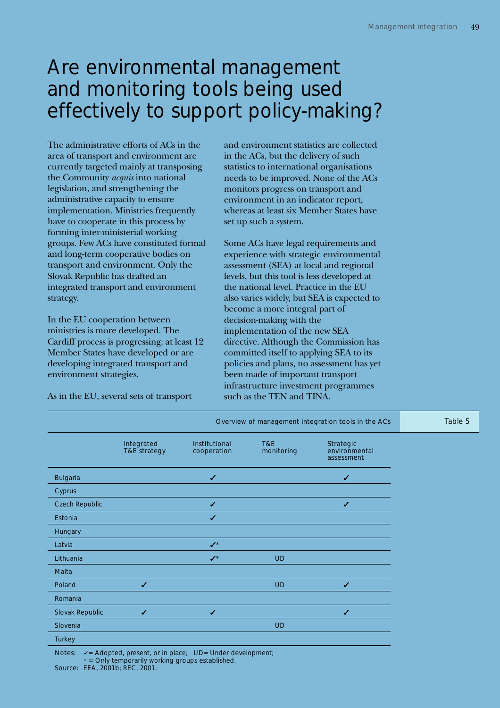# Are environmental management and monitoring tools being used effectively to support policy-making?

The administrative efforts of ACs in the area of transport and environment are currently targeted mainly at transposing the Community *acquis* into national legislation, and strengthening the administrative capacity to ensure implementation. Ministries frequently have to cooperate in this process by forming inter-ministerial working groups. Few ACs have constituted formal and long-term cooperative bodies on transport and environment. Only the Slovak Republic has drafted an integrated transport and environment strategy.

In the EU cooperation between ministries is more developed. The Cardiff process is progressing: at least 12 Member States have developed or are developing integrated transport and environment strategies.

As in the EU, several sets of transport

and environment statistics are collected in the ACs, but the delivery of such statistics to international organisations needs to be improved. None of the ACs monitors progress on transport and environment in an indicator report, whereas at least six Member States have set up such a system.

Some ACs have legal requirements and experience with strategic environmental assessment (SEA) at local and regional levels, but this tool is less developed at the national level. Practice in the EU also varies widely, but SEA is expected to become a more integral part of decision-making with the implementation of the new SEA directive. Although the Commission has committed itself to applying SEA to its policies and plans, no assessment has yet been made of important transport infrastructure investment programmes such as the TEN and TINA.

|                 |                            |                              |                   | Overview of management integration tools in the ACs | Table 5 |
|-----------------|----------------------------|------------------------------|-------------------|-----------------------------------------------------|---------|
|                 | Integrated<br>T&E strategy | Institutional<br>cooperation | T&E<br>monitoring | Strategic<br>environmental<br>assessment            |         |
| <b>Bulgaria</b> |                            | ✔                            |                   | ✔                                                   |         |
| Cyprus          |                            |                              |                   |                                                     |         |
| Czech Republic  |                            | $\checkmark$                 |                   | $\checkmark$                                        |         |
| Estonia         |                            | $\checkmark$                 |                   |                                                     |         |
| Hungary         |                            |                              |                   |                                                     |         |
| Latvia          |                            | $\checkmark$                 |                   |                                                     |         |
| Lithuania       |                            | $\boldsymbol{J}^{\star}$     | <b>UD</b>         |                                                     |         |
| Malta           |                            |                              |                   |                                                     |         |
| Poland          | $\checkmark$               |                              | <b>UD</b>         | $\checkmark$                                        |         |
| Romania         |                            |                              |                   |                                                     |         |
| Slovak Republic | ✔                          | $\checkmark$                 |                   | $\checkmark$                                        |         |
| Slovenia        |                            |                              | <b>UD</b>         |                                                     |         |
| Turkey          |                            |                              |                   |                                                     |         |

Notes:  $\checkmark$  = Adopted, present, or in place; UD= Under development; \* = Only temporarily working groups established. Source: EEA, 2001b; REC, 2001.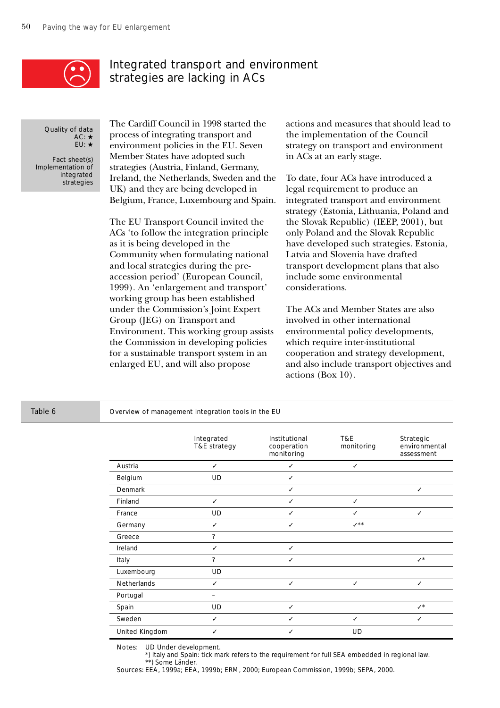

# Integrated transport and environment strategies are lacking in ACs

Quality of data AC: ★ EU: ★

Fact sheet(s) Implementation of integrated strategies

The Cardiff Council in 1998 started the process of integrating transport and environment policies in the EU. Seven Member States have adopted such strategies (Austria, Finland, Germany, Ireland, the Netherlands, Sweden and the UK) and they are being developed in Belgium, France, Luxembourg and Spain.

The EU Transport Council invited the ACs 'to follow the integration principle as it is being developed in the Community when formulating national and local strategies during the preaccession period' (European Council, 1999). An 'enlargement and transport' working group has been established under the Commission's Joint Expert Group (JEG) on Transport and Environment. This working group assists the Commission in developing policies for a sustainable transport system in an enlarged EU, and will also propose

actions and measures that should lead to the implementation of the Council strategy on transport and environment in ACs at an early stage.

To date, four ACs have introduced a legal requirement to produce an integrated transport and environment strategy (Estonia, Lithuania, Poland and the Slovak Republic) (IEEP, 2001), but only Poland and the Slovak Republic have developed such strategies. Estonia, Latvia and Slovenia have drafted transport development plans that also include some environmental considerations.

The ACs and Member States are also involved in other international environmental policy developments, which require inter-institutional cooperation and strategy development, and also include transport objectives and actions (Box 10).

### Table 6 Overview of management integration tools in the EU

|                    | Integrated<br>T&E strategy | Institutional<br>cooperation<br>monitoring | T&E<br>monitoring | Strategic<br>environmental<br>assessment |
|--------------------|----------------------------|--------------------------------------------|-------------------|------------------------------------------|
| Austria            | ✓                          | ✓                                          | ✓                 |                                          |
| Belgium            | <b>UD</b>                  | ✓                                          |                   |                                          |
| Denmark            |                            | ✓                                          |                   | ✓                                        |
| Finland            | ✓                          | ✓                                          | ✓                 |                                          |
| France             | UD                         | ✓                                          |                   | ✓                                        |
| Germany            | ✓                          | ✓                                          | $\checkmark^{**}$ |                                          |
| Greece             | ?                          |                                            |                   |                                          |
| Ireland            | ✓                          | ✓                                          |                   |                                          |
| Italy              | ?                          | ✓                                          |                   | $\checkmark$                             |
| Luxembourg         | UD                         |                                            |                   |                                          |
| <b>Netherlands</b> | ✓                          | ✓                                          | ✓                 | ✓                                        |
| Portugal           |                            |                                            |                   |                                          |
| Spain              | <b>UD</b>                  | ✓                                          |                   | $\checkmark$                             |
| Sweden             | ✓                          | ✓                                          | ✓                 | ✓                                        |
| United Kingdom     | ✓                          | ✓                                          | UD                |                                          |

Notes: UD Under development.

\*) Italy and Spain: tick mark refers to the requirement for full SEA embedded in regional law. \*\*) Some Länder.

Sources: EEA, 1999a; EEA, 1999b; ERM, 2000; European Commission, 1999b; SEPA, 2000.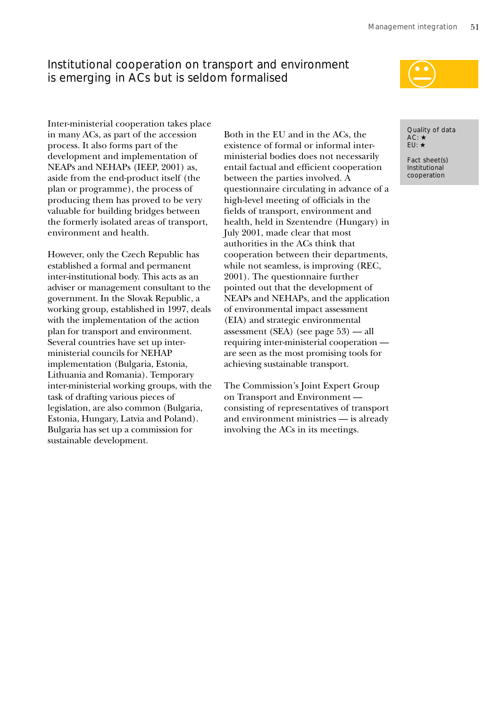# Institutional cooperation on transport and environment is emerging in ACs but is seldom formalised

Inter-ministerial cooperation takes place in many ACs, as part of the accession process. It also forms part of the development and implementation of NEAPs and NEHAPs (IEEP, 2001) as, aside from the end-product itself (the plan or programme), the process of producing them has proved to be very valuable for building bridges between the formerly isolated areas of transport, environment and health.

However, only the Czech Republic has established a formal and permanent inter-institutional body. This acts as an adviser or management consultant to the government. In the Slovak Republic, a working group, established in 1997, deals with the implementation of the action plan for transport and environment. Several countries have set up interministerial councils for NEHAP implementation (Bulgaria, Estonia, Lithuania and Romania). Temporary inter-ministerial working groups, with the task of drafting various pieces of legislation, are also common (Bulgaria, Estonia, Hungary, Latvia and Poland). Bulgaria has set up a commission for sustainable development.

Both in the EU and in the ACs, the existence of formal or informal interministerial bodies does not necessarily entail factual and efficient cooperation between the parties involved. A questionnaire circulating in advance of a high-level meeting of officials in the fields of transport, environment and health, held in Szentendre (Hungary) in July 2001, made clear that most authorities in the ACs think that cooperation between their departments, while not seamless, is improving (REC, 2001). The questionnaire further pointed out that the development of NEAPs and NEHAPs, and the application of environmental impact assessment (EIA) and strategic environmental assessment (SEA) (see page 53) — all requiring inter-ministerial cooperation are seen as the most promising tools for achieving sustainable transport.

The Commission's Joint Expert Group on Transport and Environment consisting of representatives of transport and environment ministries — is already involving the ACs in its meetings.

Quality of data AC: ★ EU: ★

Fact sheet(s) Institutional cooperation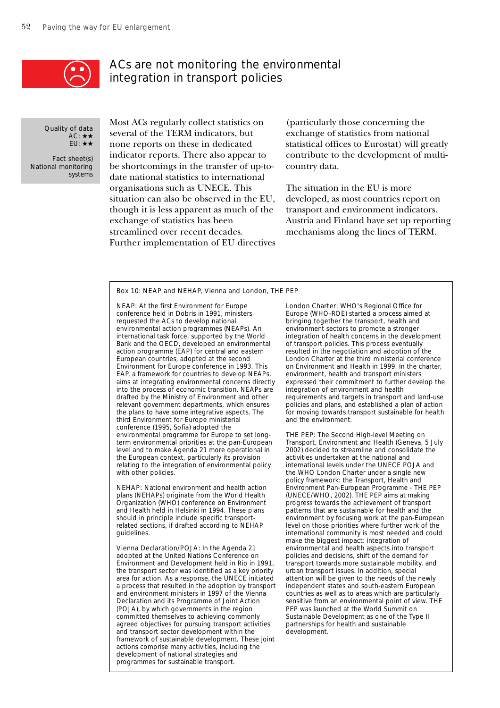

## ACs are not monitoring the environmental integration in transport policies

Quality of data AC: ★★ EU: ★★

Fact sheet(s) National monitoring systems

Most ACs regularly collect statistics on several of the TERM indicators, but none reports on these in dedicated indicator reports. There also appear to be shortcomings in the transfer of up-todate national statistics to international organisations such as UNECE. This situation can also be observed in the EU, though it is less apparent as much of the exchange of statistics has been streamlined over recent decades. Further implementation of EU directives

(particularly those concerning the exchange of statistics from national statistical offices to Eurostat) will greatly contribute to the development of multicountry data.

The situation in the EU is more developed, as most countries report on transport and environment indicators. Austria and Finland have set up reporting mechanisms along the lines of TERM.

### Box 10: NEAP and NEHAP, Vienna and London, THE PEP

NEAP: At the first Environment for Europe conference held in Dobris in 1991, ministers requested the ACs to develop national environmental action programmes (NEAPs). An international task force, supported by the World Bank and the OECD, developed an environmental action programme (EAP) for central and eastern European countries, adopted at the second Environment for Europe conference in 1993. This EAP, a framework for countries to develop NEAPs, aims at integrating environmental concerns directly into the process of economic transition. NEAPs are drafted by the Ministry of Environment and other relevant government departments, which ensures the plans to have some integrative aspects. The third Environment for Europe ministerial conference (1995, Sofia) adopted the environmental programme for Europe to set longterm environmental priorities at the pan-European level and to make Agenda 21 more operational in the European context, particularly its provision relating to the integration of environmental policy with other policies.

NEHAP: National environment and health action plans (NEHAPs) originate from the World Health Organization (WHO) conference on Environment and Health held in Helsinki in 1994. These plans should in principle include specific transportrelated sections, if drafted according to NEHAP guidelines.

Vienna Declaration/POJA: In the Agenda 21 adopted at the United Nations Conference on Environment and Development held in Rio in 1991, the transport sector was identified as a key priority area for action. As a response, the UNECE initiated a process that resulted in the adoption by transport and environment ministers in 1997 of the Vienna Declaration and its Programme of Joint Action (POJA), by which governments in the region committed themselves to achieving commonly agreed objectives for pursuing transport activities and transport sector development within the framework of sustainable development. These joint actions comprise many activities, including the development of national strategies and programmes for sustainable transport.

London Charter: WHO's Regional Office for Europe (WHO-ROE) started a process aimed at bringing together the transport, health and environment sectors to promote a stronger integration of health concerns in the development of transport policies. This process eventually resulted in the negotiation and adoption of the London Charter at the third ministerial conference on Environment and Health in 1999. In the charter, environment, health and transport ministers expressed their commitment to further develop the integration of environment and health requirements and targets in transport and land-use policies and plans, and established a plan of action for moving towards transport sustainable for health and the environment.

THE PEP: The Second High-level Meeting on Transport, Environment and Health (Geneva, 5 July 2002) decided to streamline and consolidate the activities undertaken at the national and international levels under the UNECE POJA and the WHO London Charter under a single new policy framework: the Transport, Health and Environment Pan-European Programme - THE PEP (UNECE/WHO, 2002). THE PEP aims at making progress towards the achievement of transport patterns that are sustainable for health and the environment by focusing work at the pan-European level on those priorities where further work of the international community is most needed and could make the biggest impact: integration of environmental and health aspects into transport policies and decisions, shift of the demand for transport towards more sustainable mobility, and urban transport issues. In addition, special attention will be given to the needs of the newly independent states and south-eastern European countries as well as to areas which are particularly sensitive from an environmental point of view. THE PEP was launched at the World Summit on Sustainable Development as one of the Type II partnerships for health and sustainable development.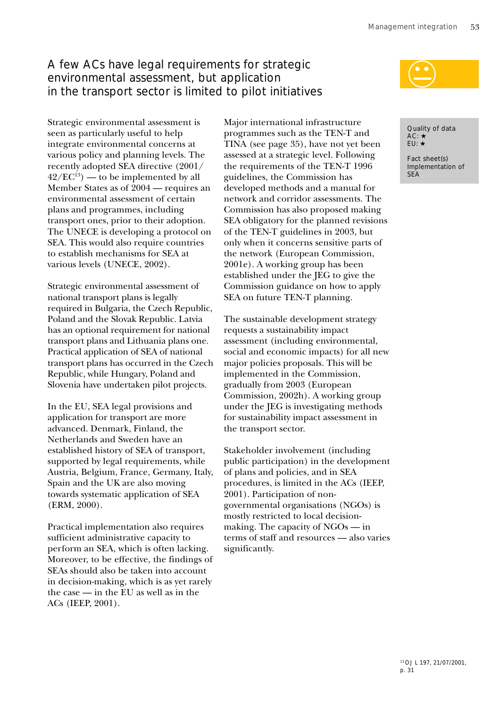# A few ACs have legal requirements for strategic environmental assessment, but application in the transport sector is limited to pilot initiatives

Strategic environmental assessment is seen as particularly useful to help integrate environmental concerns at various policy and planning levels. The recently adopted SEA directive (2001/  $42/EC^{13}$  — to be implemented by all Member States as of 2004 — requires an environmental assessment of certain plans and programmes, including transport ones, prior to their adoption. The UNECE is developing a protocol on SEA. This would also require countries to establish mechanisms for SEA at various levels (UNECE, 2002).

Strategic environmental assessment of national transport plans is legally required in Bulgaria, the Czech Republic, Poland and the Slovak Republic. Latvia has an optional requirement for national transport plans and Lithuania plans one. Practical application of SEA of national transport plans has occurred in the Czech Republic, while Hungary, Poland and Slovenia have undertaken pilot projects.

In the EU, SEA legal provisions and application for transport are more advanced. Denmark, Finland, the Netherlands and Sweden have an established history of SEA of transport, supported by legal requirements, while Austria, Belgium, France, Germany, Italy, Spain and the UK are also moving towards systematic application of SEA (ERM, 2000).

Practical implementation also requires sufficient administrative capacity to perform an SEA, which is often lacking. Moreover, to be effective, the findings of SEAs should also be taken into account in decision-making, which is as yet rarely the case — in the EU as well as in the ACs (IEEP, 2001).

Major international infrastructure programmes such as the TEN-T and TINA (see page 35), have not yet been assessed at a strategic level. Following the requirements of the TEN-T 1996 guidelines, the Commission has developed methods and a manual for network and corridor assessments. The Commission has also proposed making SEA obligatory for the planned revisions of the TEN-T guidelines in 2003, but only when it concerns sensitive parts of the network (European Commission, 2001e). A working group has been established under the JEG to give the Commission guidance on how to apply SEA on future TEN-T planning.

The sustainable development strategy requests a sustainability impact assessment (including environmental, social and economic impacts) for all new major policies proposals. This will be implemented in the Commission, gradually from 2003 (European Commission, 2002h). A working group under the JEG is investigating methods for sustainability impact assessment in the transport sector.

Stakeholder involvement (including public participation) in the development of plans and policies, and in SEA procedures, is limited in the ACs (IEEP, 2001). Participation of nongovernmental organisations (NGOs) is mostly restricted to local decisionmaking. The capacity of NGOs — in terms of staff and resources — also varies significantly.



Quality of data AC: ★ EU: ★

Fact sheet(s) Implementation of SEA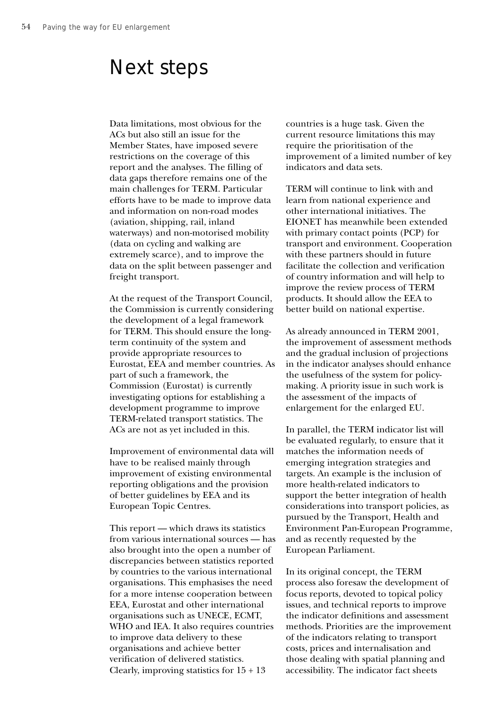# Next steps

Data limitations, most obvious for the ACs but also still an issue for the Member States, have imposed severe restrictions on the coverage of this report and the analyses. The filling of data gaps therefore remains one of the main challenges for TERM. Particular efforts have to be made to improve data and information on non-road modes (aviation, shipping, rail, inland waterways) and non-motorised mobility (data on cycling and walking are extremely scarce), and to improve the data on the split between passenger and freight transport.

At the request of the Transport Council, the Commission is currently considering the development of a legal framework for TERM. This should ensure the longterm continuity of the system and provide appropriate resources to Eurostat, EEA and member countries. As part of such a framework, the Commission (Eurostat) is currently investigating options for establishing a development programme to improve TERM-related transport statistics. The ACs are not as yet included in this.

Improvement of environmental data will have to be realised mainly through improvement of existing environmental reporting obligations and the provision of better guidelines by EEA and its European Topic Centres.

This report — which draws its statistics from various international sources — has also brought into the open a number of discrepancies between statistics reported by countries to the various international organisations. This emphasises the need for a more intense cooperation between EEA, Eurostat and other international organisations such as UNECE, ECMT, WHO and IEA. It also requires countries to improve data delivery to these organisations and achieve better verification of delivered statistics. Clearly, improving statistics for  $15 + 13$ 

countries is a huge task. Given the current resource limitations this may require the prioritisation of the improvement of a limited number of key indicators and data sets.

TERM will continue to link with and learn from national experience and other international initiatives. The EIONET has meanwhile been extended with primary contact points (PCP) for transport and environment. Cooperation with these partners should in future facilitate the collection and verification of country information and will help to improve the review process of TERM products. It should allow the EEA to better build on national expertise.

As already announced in TERM 2001, the improvement of assessment methods and the gradual inclusion of projections in the indicator analyses should enhance the usefulness of the system for policymaking. A priority issue in such work is the assessment of the impacts of enlargement for the enlarged EU.

In parallel, the TERM indicator list will be evaluated regularly, to ensure that it matches the information needs of emerging integration strategies and targets. An example is the inclusion of more health-related indicators to support the better integration of health considerations into transport policies, as pursued by the Transport, Health and Environment Pan-European Programme, and as recently requested by the European Parliament.

In its original concept, the TERM process also foresaw the development of focus reports, devoted to topical policy issues, and technical reports to improve the indicator definitions and assessment methods. Priorities are the improvement of the indicators relating to transport costs, prices and internalisation and those dealing with spatial planning and accessibility. The indicator fact sheets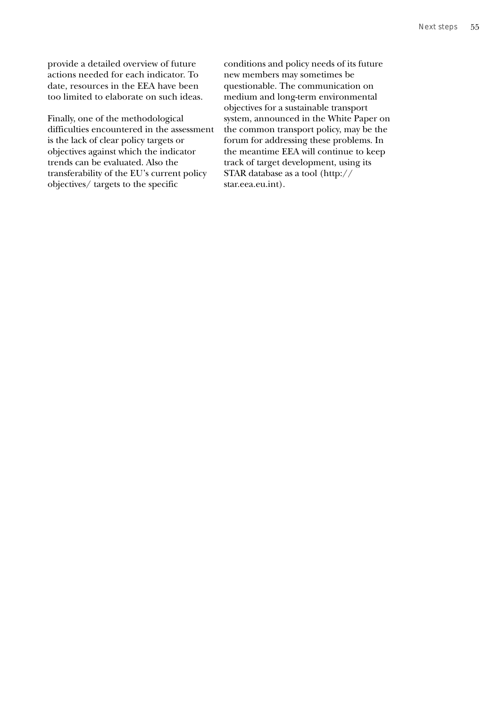provide a detailed overview of future actions needed for each indicator. To date, resources in the EEA have been too limited to elaborate on such ideas.

Finally, one of the methodological difficulties encountered in the assessment is the lack of clear policy targets or objectives against which the indicator trends can be evaluated. Also the transferability of the EU's current policy objectives/ targets to the specific

conditions and policy needs of its future new members may sometimes be questionable. The communication on medium and long-term environmental objectives for a sustainable transport system, announced in the White Paper on the common transport policy, may be the forum for addressing these problems. In the meantime EEA will continue to keep track of target development, using its STAR database as a tool (http:// star.eea.eu.int).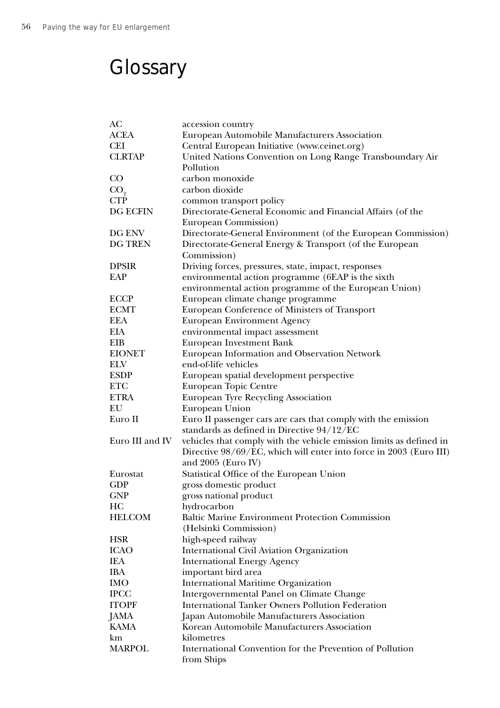# **Glossary**

| АC              | accession country                                                   |
|-----------------|---------------------------------------------------------------------|
| ACEA            | European Automobile Manufacturers Association                       |
| <b>CEI</b>      | Central European Initiative (www.ceinet.org)                        |
| <b>CLRTAP</b>   | United Nations Convention on Long Range Transboundary Air           |
|                 | Pollution                                                           |
| $\rm CO$        | carbon monoxide                                                     |
| CO <sub>2</sub> | carbon dioxide                                                      |
| <b>CTP</b>      | common transport policy                                             |
| <b>DG ECFIN</b> | Directorate-General Economic and Financial Affairs (of the          |
|                 | European Commission)                                                |
| DG ENV          | Directorate-General Environment (of the European Commission)        |
| DG TREN         | Directorate-General Energy & Transport (of the European             |
|                 | Commission)                                                         |
| <b>DPSIR</b>    | Driving forces, pressures, state, impact, responses                 |
| EAP             | environmental action programme (6EAP is the sixth                   |
|                 | environmental action programme of the European Union)               |
| <b>ECCP</b>     | European climate change programme                                   |
| <b>ECMT</b>     | European Conference of Ministers of Transport                       |
| <b>EEA</b>      | <b>European Environment Agency</b>                                  |
| EIA             | environmental impact assessment                                     |
| EIB             | European Investment Bank                                            |
| <b>EIONET</b>   | European Information and Observation Network                        |
| ELV             | end-of-life vehicles                                                |
| <b>ESDP</b>     | European spatial development perspective                            |
| <b>ETC</b>      | European Topic Centre                                               |
| <b>ETRA</b>     | <b>European Tyre Recycling Association</b>                          |
| EU              | European Union                                                      |
| Euro II         | Euro II passenger cars are cars that comply with the emission       |
|                 | standards as defined in Directive 94/12/EC                          |
| Euro III and IV | vehicles that comply with the vehicle emission limits as defined in |
|                 | Directive 98/69/EC, which will enter into force in 2003 (Euro III)  |
|                 | and 2005 (Euro IV)                                                  |
| Eurostat        | Statistical Office of the European Union                            |
| <b>GDP</b>      | gross domestic product                                              |
| GNP             | gross national product                                              |
| HC              | hydrocarbon                                                         |
| <b>HELCOM</b>   | <b>Baltic Marine Environment Protection Commission</b>              |
|                 | (Helsinki Commission)                                               |
| <b>HSR</b>      | high-speed railway                                                  |
| <b>ICAO</b>     | <b>International Civil Aviation Organization</b>                    |
| IEA             | <b>International Energy Agency</b>                                  |
| IBA             | important bird area                                                 |
| <b>IMO</b>      | <b>International Maritime Organization</b>                          |
| <b>IPCC</b>     | Intergovernmental Panel on Climate Change                           |
| <b>ITOPF</b>    | <b>International Tanker Owners Pollution Federation</b>             |
| <b>JAMA</b>     | Japan Automobile Manufacturers Association                          |
| <b>KAMA</b>     | Korean Automobile Manufacturers Association                         |
| km              | kilometres                                                          |
| <b>MARPOL</b>   | International Convention for the Prevention of Pollution            |
|                 | from Ships                                                          |
|                 |                                                                     |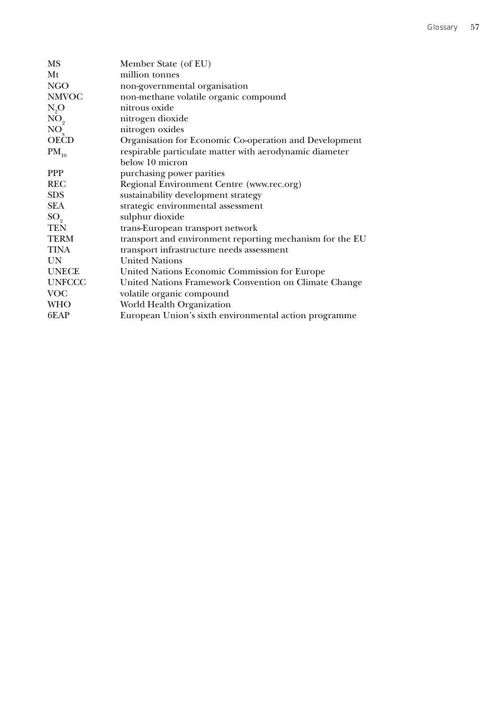| <b>MS</b>       | Member State (of EU)                                     |
|-----------------|----------------------------------------------------------|
| Mt              | million tonnes                                           |
| <b>NGO</b>      | non-governmental organisation                            |
| <b>NMVOC</b>    | non-methane volatile organic compound                    |
| $N_{0}$ O       | nitrous oxide                                            |
| NO <sub>2</sub> | nitrogen dioxide                                         |
| $NO_{y}$        | nitrogen oxides                                          |
| <b>OECD</b>     | Organisation for Economic Co-operation and Development   |
| $PM_{10}$       | respirable particulate matter with aerodynamic diameter  |
|                 | below 10 micron                                          |
| <b>PPP</b>      | purchasing power parities                                |
| <b>REC</b>      | Regional Environment Centre (www.rec.org)                |
| <b>SDS</b>      | sustainability development strategy                      |
| <b>SEA</b>      | strategic environmental assessment                       |
| $SO_{\circ}$    | sulphur dioxide                                          |
| <b>TEN</b>      | trans-European transport network                         |
| <b>TERM</b>     | transport and environment reporting mechanism for the EU |
| <b>TINA</b>     | transport infrastructure needs assessment                |
| UN              | <b>United Nations</b>                                    |
| <b>UNECE</b>    | United Nations Economic Commission for Europe            |
| <b>UNFCCC</b>   | United Nations Framework Convention on Climate Change    |
| <b>VOC</b>      | volatile organic compound                                |
| <b>WHO</b>      | World Health Organization                                |
| 6EAP            | European Union's sixth environmental action programme    |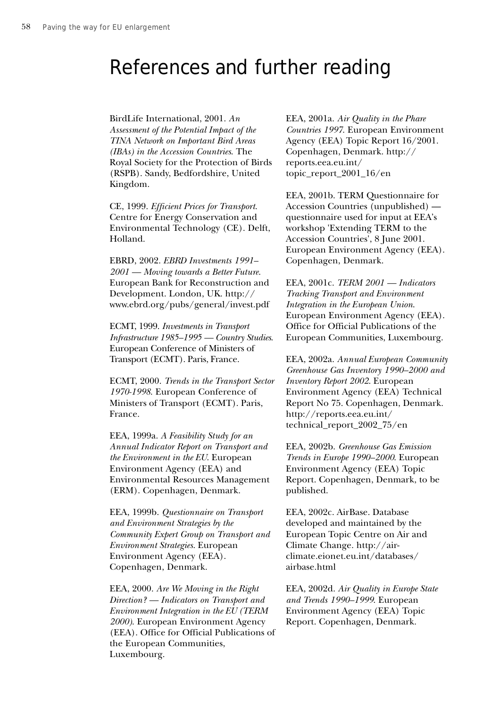# References and further reading

BirdLife International, 2001. *An Assessment of the Potential Impact of the TINA Network on Important Bird Areas (IBAs) in the Accession Countries*. The Royal Society for the Protection of Birds (RSPB). Sandy, Bedfordshire, United Kingdom.

CE, 1999. *Efficient Prices for Transport*. Centre for Energy Conservation and Environmental Technology (CE). Delft, Holland.

EBRD, 2002. *EBRD Investments 1991– 2001 — Moving towards a Better Future*. European Bank for Reconstruction and Development. London, UK. http:// www.ebrd.org/pubs/general/invest.pdf

ECMT, 1999. *Investments in Transport Infrastructure 1985–1995 — Country Studies*. European Conference of Ministers of Transport (ECMT). Paris, France.

ECMT, 2000. *Trends in the Transport Sector 1970-1998*. European Conference of Ministers of Transport (ECMT). Paris, France.

EEA, 1999a. *A Feasibility Study for an Annual Indicator Report on Transport and the Environment in the EU*. European Environment Agency (EEA) and Environmental Resources Management (ERM). Copenhagen, Denmark.

EEA, 1999b. *Questionnaire on Transport and Environment Strategies by the Community Expert Group on Transport and Environment Strategies*. European Environment Agency (EEA). Copenhagen, Denmark.

EEA, 2000. *Are We Moving in the Right Direction? — Indicators on Transport and Environment Integration in the EU (TERM 2000)*. European Environment Agency (EEA). Office for Official Publications of the European Communities, Luxembourg.

EEA, 2001a. *Air Quality in the Phare Countries 1997*. European Environment Agency (EEA) Topic Report 16/2001. Copenhagen, Denmark. http:// reports.eea.eu.int/ topic\_report\_2001\_16/en

EEA, 2001b. TERM Questionnaire for Accession Countries (unpublished) questionnaire used for input at EEA's workshop 'Extending TERM to the Accession Countries', 8 June 2001. European Environment Agency (EEA). Copenhagen, Denmark.

EEA, 2001c. *TERM 2001 — Indicators Tracking Transport and Environment Integration in the European Union*. European Environment Agency (EEA). Office for Official Publications of the European Communities, Luxembourg.

EEA, 2002a. *Annual European Community Greenhouse Gas Inventory 1990–2000 and Inventory Report 2002*. European Environment Agency (EEA) Technical Report No 75. Copenhagen, Denmark. http://reports.eea.eu.int/ technical\_report\_2002\_75/en

EEA, 2002b. *Greenhouse Gas Emission Trends in Europe 1990–2000*. European Environment Agency (EEA) Topic Report. Copenhagen, Denmark, to be published.

EEA, 2002c. AirBase. Database developed and maintained by the European Topic Centre on Air and Climate Change. http://airclimate.eionet.eu.int/databases/ airbase.html

EEA, 2002d. *Air Quality in Europe State and Trends 1990–1999*. European Environment Agency (EEA) Topic Report. Copenhagen, Denmark.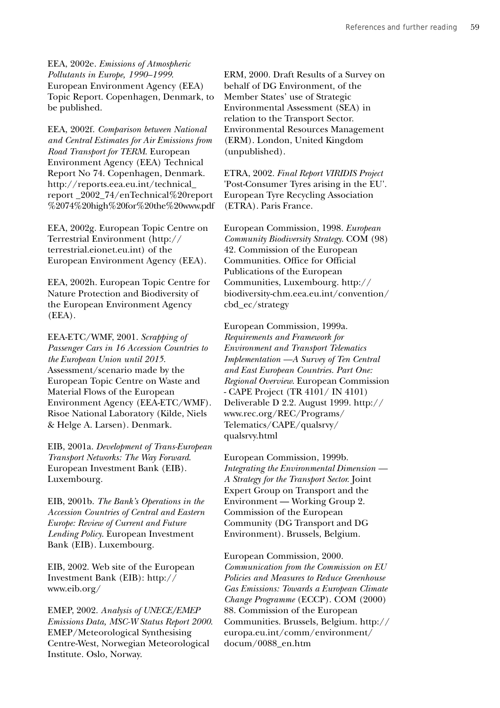EEA, 2002e. *Emissions of Atmospheric Pollutants in Europe, 1990–1999*. European Environment Agency (EEA) Topic Report. Copenhagen, Denmark, to be published.

EEA, 2002f. *Comparison between National and Central Estimates for Air Emissions from Road Transport for TERM*. European Environment Agency (EEA) Technical Report No 74. Copenhagen, Denmark. http://reports.eea.eu.int/technical\_ report \_2002\_74/enTechnical%20report %2074%20high%20for%20the%20www.pdf

EEA, 2002g. European Topic Centre on Terrestrial Environment (http:// terrestrial.eionet.eu.int) of the European Environment Agency (EEA).

EEA, 2002h. European Topic Centre for Nature Protection and Biodiversity of the European Environment Agency (EEA).

EEA-ETC/WMF, 2001. *Scrapping of Passenger Cars in 16 Accession Countries to the European Union until 2015*. Assessment/scenario made by the European Topic Centre on Waste and Material Flows of the European Environment Agency (EEA-ETC/WMF). Risoe National Laboratory (Kilde, Niels & Helge A. Larsen). Denmark.

EIB, 2001a. *Development of Trans-European Transport Networks: The Way Forward*. European Investment Bank (EIB). Luxembourg.

EIB, 2001b. *The Bank's Operations in the Accession Countries of Central and Eastern Europe: Review of Current and Future Lending Policy*. European Investment Bank (EIB). Luxembourg.

EIB, 2002. Web site of the European Investment Bank (EIB): http:// www.eib.org/

EMEP, 2002. *Analysis of UNECE/EMEP Emissions Data, MSC-W Status Report 2000*. EMEP/Meteorological Synthesising Centre-West, Norwegian Meteorological Institute. Oslo, Norway.

ERM, 2000. Draft Results of a Survey on behalf of DG Environment, of the Member States' use of Strategic Environmental Assessment (SEA) in relation to the Transport Sector. Environmental Resources Management (ERM). London, United Kingdom (unpublished).

ETRA, 2002. *Final Report VIRIDIS Project* 'Post-Consumer Tyres arising in the EU'. European Tyre Recycling Association (ETRA). Paris France.

European Commission, 1998. *European Community Biodiversity Strategy*. COM (98) 42. Commission of the European Communities. Office for Official Publications of the European Communities, Luxembourg. http:// biodiversity-chm.eea.eu.int/convention/ cbd\_ec/strategy

European Commission, 1999a. *Requirements and Framework for Environment and Transport Telematics Implementation —A Survey of Ten Central and East European Countries. Part One: Regional Overview*. European Commission - CAPE Project (TR 4101/ IN 4101) Deliverable D 2.2. August 1999. http:// www.rec.org/REC/Programs/ Telematics/CAPE/qualsrvy/ qualsrvy.html

European Commission, 1999b. *Integrating the Environmental Dimension — A Strategy for the Transport Sector.* Joint Expert Group on Transport and the Environment — Working Group 2. Commission of the European Community (DG Transport and DG Environment). Brussels, Belgium.

European Commission, 2000. *Communication from the Commission on EU Policies and Measures to Reduce Greenhouse Gas Emissions: Towards a European Climate Change Programme* (ECCP). COM (2000) 88. Commission of the European Communities. Brussels, Belgium. http:// europa.eu.int/comm/environment/ docum/0088\_en.htm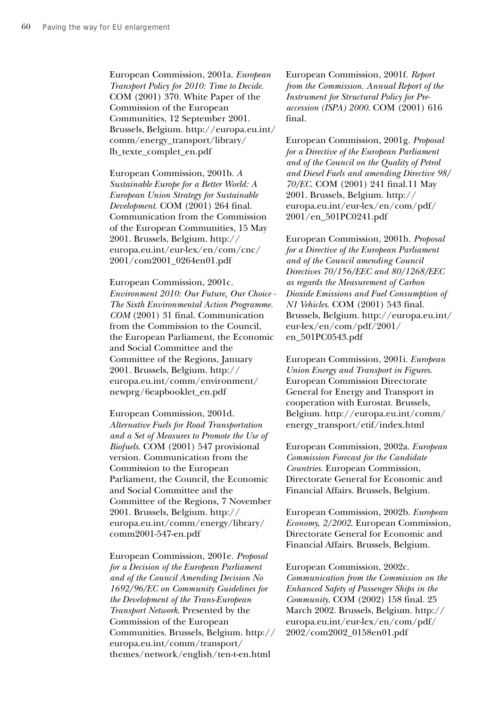European Commission, 2001a. *European Transport Policy for 2010: Time to Decide*. COM (2001) 370. White Paper of the Commission of the European Communities, 12 September 2001. Brussels, Belgium. http://europa.eu.int/ comm/energy\_transport/library/ lb\_texte\_complet\_en.pdf

European Commission, 2001b. *A Sustainable Europe for a Better World: A European Union Strategy for Sustainable Development*. COM (2001) 264 final. Communication from the Commission of the European Communities, 15 May 2001. Brussels, Belgium. http:// europa.eu.int/eur-lex/en/com/cnc/ 2001/com2001\_0264en01.pdf

European Commission, 2001c. *Environment 2010: Our Future, Our Choice - The Sixth Environmental Action Programme. COM* (2001) 31 final. Communication from the Commission to the Council, the European Parliament, the Economic and Social Committee and the Committee of the Regions, January 2001. Brussels, Belgium. http:// europa.eu.int/comm/environment/ newprg/6eapbooklet\_en.pdf

European Commission, 2001d. *Alternative Fuels for Road Transportation and a Set of Measures to Promote the Use of Biofuels*. COM (2001) 547 provisional version. Communication from the Commission to the European Parliament, the Council, the Economic and Social Committee and the Committee of the Regions, 7 November 2001. Brussels, Belgium. http:// europa.eu.int/comm/energy/library/ comm2001-547-en.pdf

European Commission, 2001e. *Proposal for a Decision of the European Parliament and of the Council Amending Decision No 1692/96/EC on Community Guidelines for the Development of the Trans-European Transport Network*. Presented by the Commission of the European Communities. Brussels, Belgium. http:// europa.eu.int/comm/transport/ themes/network/english/ten-t-en.html

European Commission, 2001f. *Report from the Commission. Annual Report of the Instrument for Structural Policy for Preaccession (ISPA) 2000*. COM (2001) 616 final.

European Commission, 2001g. *Proposal for a Directive of the European Parliament and of the Council on the Quality of Petrol and Diesel Fuels and amending Directive 98/ 70/EC*. COM (2001) 241 final.11 May 2001. Brussels, Belgium. http:// europa.eu.int/eur-lex/en/com/pdf/ 2001/en\_501PC0241.pdf

European Commission, 2001h. *Proposal for a Directive of the European Parliament and of the Council amending Council Directives 70/156/EEC and 80/1268/EEC as regards the Measurement of Carbon Dioxide Emissions and Fuel Consumption of N1 Vehicles*. COM (2001) 543 final. Brussels, Belgium. http://europa.eu.int/ eur-lex/en/com/pdf/2001/ en\_501PC0543.pdf

European Commission, 2001i. *European Union Energy and Transport in Figures*. European Commission Directorate General for Energy and Transport in cooperation with Eurostat. Brussels, Belgium. http://europa.eu.int/comm/ energy\_transport/etif/index.html

European Commission, 2002a. *European Commission Forecast for the Candidate Countries*. European Commission, Directorate General for Economic and Financial Affairs. Brussels, Belgium.

European Commission, 2002b. *European Economy, 2/2002*. European Commission, Directorate General for Economic and Financial Affairs. Brussels, Belgium.

European Commission, 2002c. *Communication from the Commission on the Enhanced Safety of Passenger Ships in the Community*. COM (2002) 158 final. 25 March 2002. Brussels, Belgium. http:// europa.eu.int/eur-lex/en/com/pdf/ 2002/com2002\_0158en01.pdf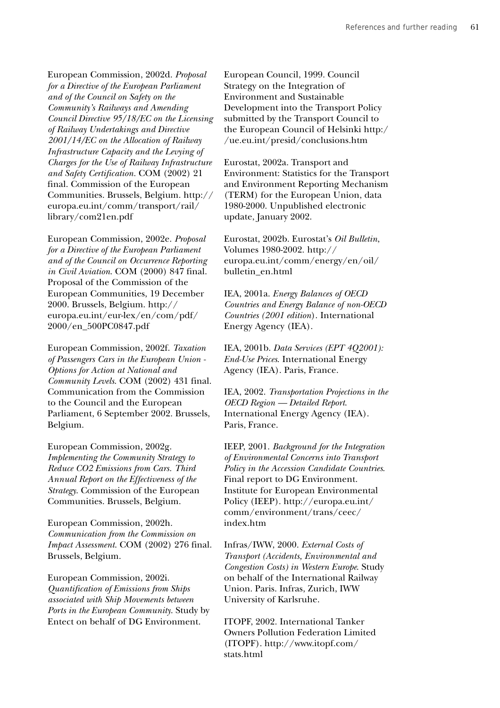European Commission, 2002d. *Proposal for a Directive of the European Parliament and of the Council on Safety on the Community's Railways and Amending Council Directive 95/18/EC on the Licensing of Railway Undertakings and Directive 2001/14/EC on the Allocation of Railway Infrastructure Capacity and the Levying of Charges for the Use of Railway Infrastructure and Safety Certification.* COM (2002) 21 final. Commission of the European Communities. Brussels, Belgium. http:// europa.eu.int/comm/transport/rail/ library/com21en.pdf

European Commission, 2002e. *Proposal for a Directive of the European Parliament and of the Council on Occurrence Reporting in Civil Aviation*. COM (2000) 847 final. Proposal of the Commission of the European Communities, 19 December 2000. Brussels, Belgium. http:// europa.eu.int/eur-lex/en/com/pdf/ 2000/en\_500PC0847.pdf

European Commission, 2002f. *Taxation of Passengers Cars in the European Union - Options for Action at National and Community Levels*. COM (2002) 431 final. Communication from the Commission to the Council and the European Parliament, 6 September 2002. Brussels, Belgium.

European Commission, 2002g. *Implementing the Community Strategy to Reduce CO2 Emissions from Cars. Third Annual Report on the Effectiveness of the Strategy*. Commission of the European Communities. Brussels, Belgium.

European Commission, 2002h. *Communication from the Commission on Impact Assessment*. COM (2002) 276 final. Brussels, Belgium.

European Commission, 2002i. *Quantification of Emissions from Ships associated with Ship Movements between Ports in the European Community*. Study by Entect on behalf of DG Environment.

European Council, 1999. Council Strategy on the Integration of Environment and Sustainable Development into the Transport Policy submitted by the Transport Council to the European Council of Helsinki http:/ /ue.eu.int/presid/conclusions.htm

Eurostat, 2002a. Transport and Environment: Statistics for the Transport and Environment Reporting Mechanism (TERM) for the European Union, data 1980-2000. Unpublished electronic update, January 2002.

Eurostat, 2002b. Eurostat's *Oil Bulletin*, Volumes 1980-2002. http:// europa.eu.int/comm/energy/en/oil/ bulletin\_en.html

IEA, 2001a. *Energy Balances of OECD Countries and Energy Balance of non-OECD Countries (2001 edition*). International Energy Agency (IEA).

IEA, 2001b. *Data Services (EPT 4Q2001): End-Use Prices*. International Energy Agency (IEA). Paris, France.

IEA, 2002. *Transportation Projections in the OECD Region — Detailed Report*. International Energy Agency (IEA). Paris, France.

IEEP, 2001. *Background for the Integration of Environmental Concerns into Transport Policy in the Accession Candidate Countries*. Final report to DG Environment. Institute for European Environmental Policy (IEEP). http://europa.eu.int/ comm/environment/trans/ceec/ index.htm

Infras/IWW, 2000. *External Costs of Transport (Accidents, Environmental and Congestion Costs) in Western Europe*. Study on behalf of the International Railway Union. Paris. Infras, Zurich, IWW University of Karlsruhe.

ITOPF, 2002. International Tanker Owners Pollution Federation Limited (ITOPF). http://www.itopf.com/ stats.html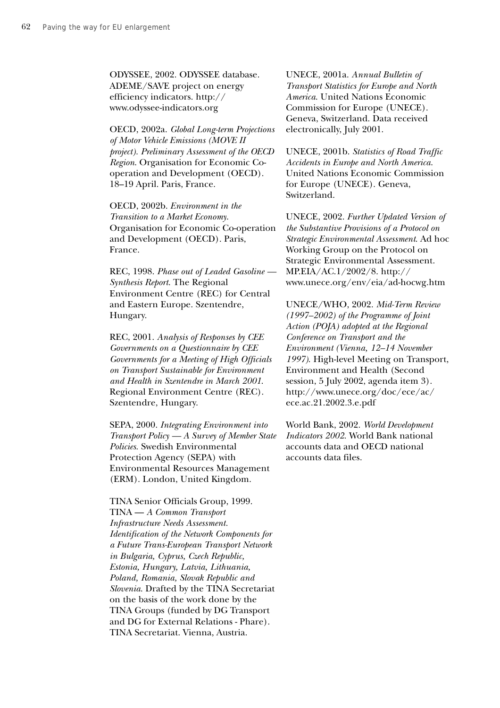ODYSSEE, 2002. ODYSSEE database. ADEME/SAVE project on energy efficiency indicators. http:// www.odyssee-indicators.org

OECD, 2002a. *Global Long-term Projections of Motor Vehicle Emissions (MOVE II project). Preliminary Assessment of the OECD Region*. Organisation for Economic Cooperation and Development (OECD). 18–19 April. Paris, France.

OECD, 2002b. *Environment in the Transition to a Market Economy*. Organisation for Economic Co-operation and Development (OECD). Paris, France.

REC, 1998. *Phase out of Leaded Gasoline — Synthesis Report*. The Regional Environment Centre (REC) for Central and Eastern Europe. Szentendre, Hungary.

REC, 2001. *Analysis of Responses by CEE Governments on a Questionnaire by CEE Governments for a Meeting of High Officials on Transport Sustainable for Environment and Health in Szentendre in March 2001*. Regional Environment Centre (REC). Szentendre, Hungary.

SEPA, 2000. *Integrating Environment into Transport Policy — A Survey of Member State Policies*. Swedish Environmental Protection Agency (SEPA) with Environmental Resources Management (ERM). London, United Kingdom.

TINA Senior Officials Group, 1999. TINA — *A Common Transport Infrastructure Needs Assessment. Identification of the Network Components for a Future Trans-European Transport Network in Bulgaria, Cyprus, Czech Republic, Estonia, Hungary, Latvia, Lithuania, Poland, Romania, Slovak Republic and Slovenia*. Drafted by the TINA Secretariat on the basis of the work done by the TINA Groups (funded by DG Transport and DG for External Relations - Phare). TINA Secretariat. Vienna, Austria.

UNECE, 2001a. *Annual Bulletin of Transport Statistics for Europe and North America*. United Nations Economic Commission for Europe (UNECE). Geneva, Switzerland. Data received electronically, July 2001.

UNECE, 2001b. *Statistics of Road Traffic Accidents in Europe and North America*. United Nations Economic Commission for Europe (UNECE). Geneva, Switzerland.

UNECE, 2002. *Further Updated Version of the Substantive Provisions of a Protocol on Strategic Environmental Assessment*. Ad hoc Working Group on the Protocol on Strategic Environmental Assessment. MP.EIA/AC.1/2002/8. http:// www.unece.org/env/eia/ad-hocwg.htm

UNECE/WHO, 2002. *Mid-Term Review (1997–2002) of the Programme of Joint Action (POJA) adopted at the Regional Conference on Transport and the Environment (Vienna, 12–14 November 1997)*. High-level Meeting on Transport, Environment and Health (Second session, 5 July 2002, agenda item 3). http://www.unece.org/doc/ece/ac/ ece.ac.21.2002.3.e.pdf

World Bank, 2002. *World Development Indicators 2002*. World Bank national accounts data and OECD national accounts data files.